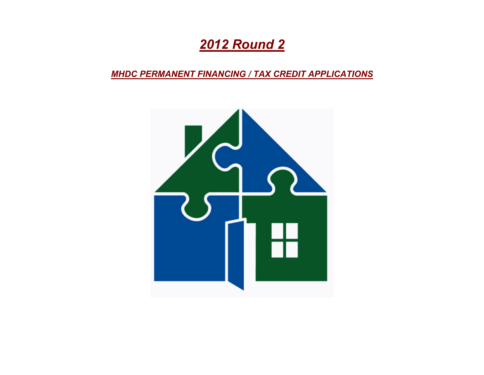# *2012 Round 2*

*MHDC PERMANENT FINANCING / TAX CREDIT APPLICATIONS*

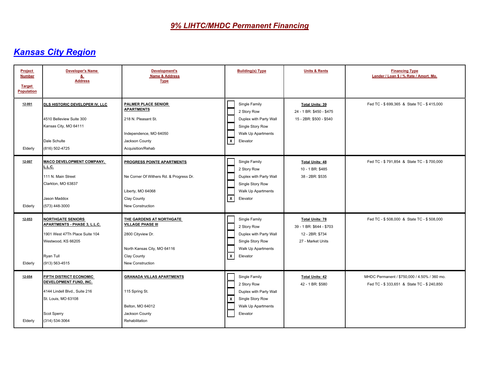| Project<br><b>Number</b><br><b>Target</b><br><b>Population</b> | <b>Developer's Name</b><br><u>&amp;</u><br><b>Address</b>                                                                                         | Development's<br><b>Name &amp; Address</b><br><b>Type</b>                                                                                   | <b>Building(s) Type</b>                                                                                                                   | <b>Units &amp; Rents</b>                                                                   | <b>Financing Type</b><br>Lender / Loan \$ / % Rate / Amort. Mo.                           |
|----------------------------------------------------------------|---------------------------------------------------------------------------------------------------------------------------------------------------|---------------------------------------------------------------------------------------------------------------------------------------------|-------------------------------------------------------------------------------------------------------------------------------------------|--------------------------------------------------------------------------------------------|-------------------------------------------------------------------------------------------|
| 12-001<br>Elderly                                              | DLS HISTORIC DEVELOPER IV, LLC<br>4510 Belleview Suite 300<br>Kansas City, MO 64111<br>Dale Schulte<br>(816) 502-4725                             | PALMER PLACE SENIOR<br><b>APARTMENTS</b><br>218 N. Pleasant St.<br>Independence, MO 64050<br>Jackson County<br>Acquisition/Rehab            | Single Family<br>2 Story Row<br>Duplex with Party Wall<br>Single Story Row<br>Walk Up Apartments<br>$\boldsymbol{\mathsf{x}}$<br>Elevator | <b>Total Units: 39</b><br>24 - 1 BR: \$450 - \$475<br>15 - 2BR: \$500 - \$540              | Fed TC - \$699.365 & State TC - \$415.000                                                 |
| 12-007<br>Elderly                                              | <b>MACO DEVELOPMENT COMPANY,</b><br>L.L.C.<br>111 N. Main Street<br>Clarkton, MO 63837<br>Jason Maddox<br>(573) 448-3000                          | PROGRESS POINTE APARTMENTS<br>Ne Corner Of Withers Rd. & Progress Dr.<br>Liberty, MO 64068<br>Clay County<br><b>New Construction</b>        | Single Family<br>2 Story Row<br>Duplex with Party Wall<br>Single Story Row<br>Walk Up Apartments<br>$\boldsymbol{\mathsf{x}}$<br>Elevator | <b>Total Units: 48</b><br>10 - 1 BR: \$485<br>38 - 2BR: \$535                              | Fed TC - \$791,854 & State TC - \$700,000                                                 |
| 12-053<br>Elderly                                              | <b>NORTHGATE SENIORS</b><br>APARTMENTS - PHASE 3, L.L.C.<br>1901 West 47Th Place Suite 104<br>Westwood, KS 66205<br>Ryan Tull<br>(913) 563-4515   | THE GARDENS AT NORTHGATE<br><b>VILLAGE PHASE III</b><br>2800 Cityview Dr.<br>North Kansas City, MO 64116<br>Clay County<br>New Construction | Single Family<br>2 Story Row<br>Duplex with Party Wall<br>Single Story Row<br>Walk Up Apartments<br>$\mathsf{x}$<br>Elevator              | <b>Total Units: 78</b><br>39 - 1 BR: \$644 - \$703<br>12 - 2BR: \$734<br>27 - Market Units | Fed TC - \$508,000 & State TC - \$508,000                                                 |
| 12-054<br>Elderly                                              | <b>FIFTH DISTRICT ECONOMIC</b><br>DEVELOPMENT FUND, INC.<br>4144 Lindell Blvd., Suite 216<br>St. Louis, MO 63108<br>Scot Sperry<br>(314) 534-3064 | <b>GRANADA VILLAS APARTMENTS</b><br>115 Spring St.<br>Belton, MO 64012<br>Jackson County<br>Rehabilitation                                  | Single Family<br>2 Story Row<br>Duplex with Party Wall<br>Single Story Row<br>X<br>Walk Up Apartments<br>Elevator                         | <b>Total Units: 42</b><br>42 - 1 BR: \$580                                                 | MHDC Permanent / \$750,000 / 4.50% / 360 mo.<br>Fed TC - \$333,651 & State TC - \$240,850 |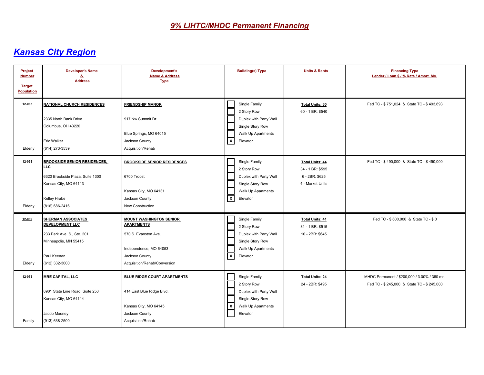| Project<br><b>Number</b><br><b>Target</b><br><b>Population</b> | <b>Developer's Name</b><br><u>&amp;</u><br><b>Address</b>                                                                                        | Development's<br><b>Name &amp; Address</b><br><b>Type</b>                                                                                               | <b>Building(s) Type</b>                                                                                                                 | <b>Units &amp; Rents</b>                                                         | <b>Financing Type</b><br>Lender / Loan \$ / % Rate / Amort. Mo.                             |
|----------------------------------------------------------------|--------------------------------------------------------------------------------------------------------------------------------------------------|---------------------------------------------------------------------------------------------------------------------------------------------------------|-----------------------------------------------------------------------------------------------------------------------------------------|----------------------------------------------------------------------------------|---------------------------------------------------------------------------------------------|
| 12-065<br>Elderly                                              | <b>NATIONAL CHURCH RESIDENCES</b><br>2335 North Bank Drive<br>Columbus, OH 43220<br><b>Eric Walker</b><br>(614) 273-3539                         | <b>FRIENDSHIP MANOR</b><br>917 Nw Summit Dr.<br>Blue Springs, MO 64015<br>Jackson County<br>Acquisition/Rehab                                           | Single Family<br>2 Story Row<br>Duplex with Party Wall<br>Single Story Row<br>Walk Up Apartments<br>$\mathbf{x}$<br>Elevator            | <b>Total Units: 60</b><br>60 - 1 BR: \$540                                       | Fed TC - \$751,024 & State TC - \$493,693                                                   |
| 12-068<br>Elderly                                              | <b>BROOKSIDE SENIOR RESIDENCES,</b><br><b>LLC</b><br>6320 Brookside Plaza, Suite 1300<br>Kansas City, MO 64113<br>Kelley Hrabe<br>(816) 686-2416 | <b>BROOKSIDE SENIOR RESIDENCES</b><br>6700 Troost<br>Kansas City, MO 64131<br>Jackson County<br><b>New Construction</b>                                 | Single Family<br>2 Story Row<br>Duplex with Party Wall<br>Single Story Row<br>Walk Up Apartments<br>$\mathsf{x}$<br>Elevator            | <b>Total Units: 44</b><br>34 - 1 BR: \$595<br>6 - 2BR: \$625<br>4 - Market Units | Fed TC - \$490,000 & State TC - \$490,000                                                   |
| 12-069<br>Elderly                                              | <b>SHERMAN ASSOCIATES</b><br><b>DEVELOPMENT LLC</b><br>233 Park Ave. S., Ste. 201<br>Minneapolis, MN 55415<br>Paul Keenan<br>(612) 332-3000      | <b>MOUNT WASHINGTON SENIOR</b><br><b>APARTMENTS</b><br>570 S. Evanston Ave.<br>Independence, MO 64053<br>Jackson County<br>Acquisition/Rehab/Conversion | Single Family<br>2 Story Row<br>Duplex with Party Wall<br>Single Story Row<br>Walk Up Apartments<br>$\mathsf{X}$<br>Elevator            | <b>Total Units: 41</b><br>31 - 1 BR: \$515<br>10 - 2BR: \$645                    | Fed TC - \$600,000 & State TC - \$0                                                         |
| 12-073<br>Family                                               | <b>MRE CAPITAL, LLC</b><br>8901 State Line Road, Suite 250<br>Kansas City, MO 64114<br>Jacob Mooney<br>(913) 638-2500                            | <b>BLUE RIDGE COURT APARTMENTS</b><br>414 East Blue Ridge Blvd.<br>Kansas City, MO 64145<br>Jackson County<br>Acquisition/Rehab                         | Single Family<br>2 Story Row<br>Duplex with Party Wall<br>Single Story Row<br>$\overline{\mathbf{x}}$<br>Walk Up Apartments<br>Elevator | <b>Total Units: 24</b><br>24 - 2BR: \$495                                        | MHDC Permanent / \$200,000 / 3.00% / 360 mo.<br>Fed TC - \$ 245,000 & State TC - \$ 245,000 |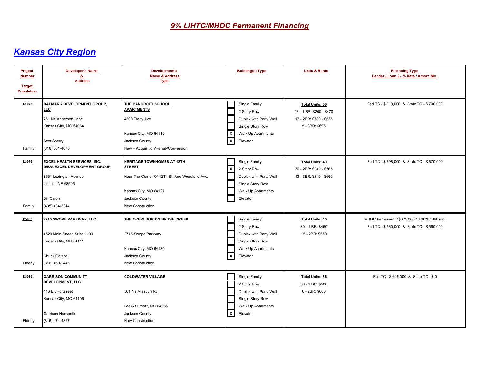| <b>Project</b><br><b>Number</b><br><b>Target</b><br>Population | <b>Developer's Name</b><br>&<br><b>Address</b>                                                                                                           | <b>Development's</b><br><b>Name &amp; Address</b><br><b>Type</b>                                                                                                   | <b>Building(s) Type</b>                                                                                                            | <b>Units &amp; Rents</b>                                                                        | <b>Financing Type</b><br>Lender / Loan \$ / % Rate / Amort. Mo.                           |
|----------------------------------------------------------------|----------------------------------------------------------------------------------------------------------------------------------------------------------|--------------------------------------------------------------------------------------------------------------------------------------------------------------------|------------------------------------------------------------------------------------------------------------------------------------|-------------------------------------------------------------------------------------------------|-------------------------------------------------------------------------------------------|
| 12-076<br>Family                                               | DALMARK DEVELOPMENT GROUP,<br>LLC<br>751 Ne Anderson Lane<br>Kansas City, MO 64064<br>Scot Sperry<br>(816) 861-4070                                      | THE BANCROFT SCHOOL<br><b>APARTMENTS</b><br>4300 Tracy Ave.<br>Kansas City, MO 64110<br>Jackson County<br>New + Acquisition/Rehab/Conversion                       | Single Family<br>2 Story Row<br>Duplex with Party Wall<br>Single Story Row<br>Walk Up Apartments<br>$\mathbf{x}$<br>⊺x<br>Elevator | <b>Total Units: 50</b><br>28 - 1 BR: \$200 - \$470<br>17 - 2BR: \$580 - \$635<br>5 - 3BR: \$695 | Fed TC - \$910,000 & State TC - \$700,000                                                 |
| 12-079<br>Family                                               | <b>EXCEL HEALTH SERVICES, INC.</b><br>D/B/A EXCEL DEVELOPMENT GROUP<br>8551 Lexington Avenue<br>Lincoln, NE 68505<br><b>Bill Caton</b><br>(405) 434-3344 | <b>HERITAGE TOWNHOMES AT 12TH</b><br><b>STREET</b><br>Near The Corner Of 12Th St. And Woodland Ave.<br>Kansas City, MO 64127<br>Jackson County<br>New Construction | Single Family<br>  x<br>2 Story Row<br>Duplex with Party Wall<br>Single Story Row<br>Walk Up Apartments<br>Elevator                | <b>Total Units: 49</b><br>36 - 2BR: \$340 - \$565<br>13 - 3BR: \$340 - \$650                    | Fed TC - \$698,000 & State TC - \$670,000                                                 |
| 12-083<br>Elderly                                              | 2715 SWOPE PARKWAY, LLC<br>4520 Main Street, Suite 1100<br>Kansas City, MO 64111<br>Chuck Gatson<br>(816) 460-2446                                       | THE OVERLOOK ON BRUSH CREEK<br>2715 Swope Parkway<br>Kansas City, MO 64130<br>Jackson County<br>New Construction                                                   | Single Family<br>2 Story Row<br>Duplex with Party Wall<br>Single Story Row<br>Walk Up Apartments<br>$\mathsf{x}$<br>Elevator       | <b>Total Units: 45</b><br>30 - 1 BR: \$450<br>15 - 2BR: \$550                                   | MHDC Permanent / \$875,000 / 3.00% / 360 mo.<br>Fed TC - \$560,000 & State TC - \$560,000 |
| 12-085<br>Elderly                                              | <b>GARRISON COMMUNITY</b><br>DEVELOPMENT, LLC<br>416 E 3Rd Street<br>Kansas City, MO 64106<br>Garrison Hassenflu<br>(816) 474-4857                       | <b>COLDWATER VILLAGE</b><br>501 Ne Missouri Rd.<br>Lee'S Summit, MO 64086<br>Jackson County<br>New Construction                                                    | Single Family<br>2 Story Row<br>Duplex with Party Wall<br>Single Story Row<br>Walk Up Apartments<br>  x<br>Elevator                | <b>Total Units: 36</b><br>30 - 1 BR: \$500<br>6 - 2BR: \$600                                    | Fed TC - \$ 615,000 & State TC - \$ 0                                                     |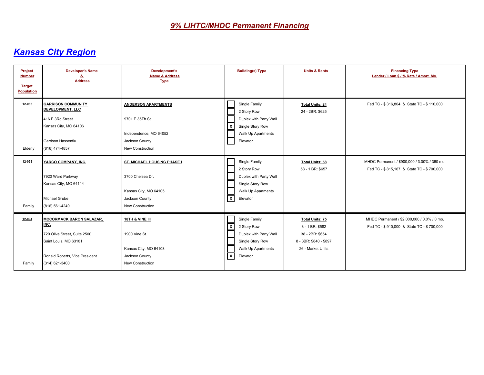| Project<br><b>Number</b><br><b>Target</b><br><b>Population</b> | <b>Developer's Name</b><br><u>&amp;</u><br><b>Address</b>                                                                                            | Development's<br><b>Name &amp; Address</b><br><b>Type</b>                                                      | <b>Building(s) Type</b>                                                                                                                                        | <b>Units &amp; Rents</b>                                                                                    | <b>Financing Type</b><br>Lender / Loan \$ / % Rate / Amort. Mo.                           |
|----------------------------------------------------------------|------------------------------------------------------------------------------------------------------------------------------------------------------|----------------------------------------------------------------------------------------------------------------|----------------------------------------------------------------------------------------------------------------------------------------------------------------|-------------------------------------------------------------------------------------------------------------|-------------------------------------------------------------------------------------------|
| 12-086<br>Elderly                                              | <b>GARRISON COMMUNITY</b><br><b>DEVELOPMENT, LLC</b><br>416 E 3Rd Street<br>Kansas City, MO 64106<br>Garrison Hassenflu<br>(816) 474-4857            | <b>ANDERSON APARTMENTS</b><br>9701 E 35Th St.<br>Independence, MO 64052<br>Jackson County<br>New Construction  | Single Family<br>2 Story Row<br>Duplex with Party Wall<br>  x<br>Single Story Row<br>Walk Up Apartments<br>Elevator                                            | <b>Total Units: 24</b><br>24 - 2BR: \$625                                                                   | Fed TC - \$316,804 & State TC - \$110,000                                                 |
| 12-093<br>Family                                               | YARCO COMPANY, INC.<br>7920 Ward Parkway<br>Kansas City, MO 64114<br>Michael Grube<br>(816) 561-4240                                                 | ST. MICHAEL HOUSING PHASE I<br>3700 Chelsea Dr.<br>Kansas City, MO 64105<br>Jackson County<br>New Construction | Single Family<br>2 Story Row<br>Duplex with Party Wall<br>Single Story Row<br><b>Walk Up Apartments</b><br>$\sqrt{x}$<br>Elevator                              | <b>Total Units: 58</b><br>58 - 1 BR: \$657                                                                  | MHDC Permanent / \$900,000 / 3.00% / 360 mo.<br>Fed TC - \$815,167 & State TC - \$700,000 |
| 12-094<br>Family                                               | <b>MCCORMACK BARON SALAZAR,</b><br>INC.<br>720 Olive Street, Suite 2500<br>Saint Louis, MO 63101<br>Ronald Roberts, Vice President<br>(314) 621-3400 | 18TH & VINE III<br>1900 Vine St.<br>Kansas City, MO 64108<br>Jackson County<br>New Construction                | Single Family<br>$\overline{\mathsf{x}}$<br>2 Story Row<br>Duplex with Party Wall<br>Single Story Row<br><b>Walk Up Apartments</b><br>$\mathbf{x}$<br>Elevator | <b>Total Units: 75</b><br>3 - 1 BR: \$582<br>38 - 2BR: \$654<br>8 - 3BR: \$840 - \$897<br>26 - Market Units | MHDC Permanent / \$2,000,000 / 0.0% / 0 mo.<br>Fed TC - \$910,000 & State TC - \$700,000  |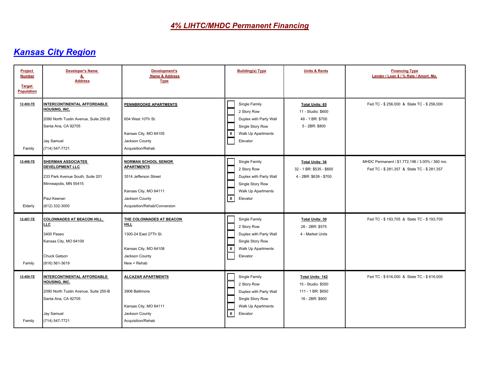| Project<br><b>Number</b><br><b>Target</b><br><b>Population</b> | <b>Developer's Name</b><br>8<br><b>Address</b>                                                                                                      | Development's<br><b>Name &amp; Address</b><br><b>Type</b>                                                                                            | <b>Building(s) Type</b>                                                                                                                   | <b>Units &amp; Rents</b>                                                              | <b>Financing Type</b><br>Lender / Loan \$ / % Rate / Amort. Mo.                             |
|----------------------------------------------------------------|-----------------------------------------------------------------------------------------------------------------------------------------------------|------------------------------------------------------------------------------------------------------------------------------------------------------|-------------------------------------------------------------------------------------------------------------------------------------------|---------------------------------------------------------------------------------------|---------------------------------------------------------------------------------------------|
| 12-404-TE<br>Family                                            | INTERCONTINENTAL AFFORDABLE<br>HOUSING, INC.<br>2090 North Tustin Avenue, Suite 250-B<br>Santa Ana, CA 92705<br>Jay Samuel<br>(714) 547-7721        | PENNBROOKE APARTMENTS<br>604 West 10Th St.<br>Kansas City, MO 64105<br>Jackson County<br>Acquisition/Rehab                                           | Single Family<br>2 Story Row<br>Duplex with Party Wall<br>Single Story Row<br>Walk Up Apartments<br>$\boldsymbol{\mathsf{x}}$<br>Elevator | <b>Total Units: 65</b><br>11 - Studio: \$600<br>49 - 1 BR: \$700<br>5 - 2BR: \$800    | Fed TC - \$ 256,000 & State TC - \$ 256,000                                                 |
| 12-406-TE<br>Elderly                                           | <b>SHERMAN ASSOCIATES</b><br><b>DEVELOPMENT LLC</b><br>233 Park Avenue South, Suite 201<br>Minneapolis, MN 55415<br>Paul Keenan<br>(612) 332-3000   | <b>NORMAN SCHOOL SENIOR</b><br><b>APARTMENTS</b><br>3514 Jefferson Street<br>Kansas City, MO 64111<br>Jackson County<br>Acquisition/Rehab/Conversion | Single Family<br>2 Story Row<br>Duplex with Party Wall<br>Single Story Row<br>Walk Up Apartments<br>$\mathbf{x}$<br>Elevator              | <b>Total Units: 36</b><br>32 - 1 BR: \$535 - \$600<br>4 - 2BR: \$639 - \$700          | MHDC Permanent / \$1,772,196 / 3.00% / 360 mo.<br>Fed TC - \$281,357 & State TC - \$281,357 |
| 12-407-TE<br>Family                                            | <b>COLONNADES AT BEACON HILL,</b><br>LLC<br>3400 Paseo<br>Kansas City, MO 64109<br>Chuck Gatson<br>(816) 561-3619                                   | THE COLONNADES AT BEACON<br><b>HILL</b><br>1300-24 East 27Th St.<br>Kansas City, MO 64108<br>Jackson County<br>New + Rehab                           | Single Family<br>2 Story Row<br>Duplex with Party Wall<br>Single Story Row<br>$\boldsymbol{\mathsf{x}}$<br>Walk Up Apartments<br>Elevator | <b>Total Units: 30</b><br>26 - 2BR: \$575<br>4 - Market Units                         | Fed TC - \$193,705 & State TC - \$193,705                                                   |
| 12-409-TE<br>Family                                            | <b>INTERCONTINENTAL AFFORDABLE</b><br>HOUSING, INC.<br>2090 North Tustin Avenue, Suite 250-B<br>Santa Ana, CA 92705<br>Jay Samuel<br>(714) 547-7721 | <b>ALCAZAR APARTMENTS</b><br>3906 Baltimore<br>Kansas City, MO 64111<br>Jackson County<br>Acquisition/Rehab                                          | Single Family<br>2 Story Row<br>Duplex with Party Wall<br>Single Story Row<br>Walk Up Apartments<br>  x<br>Elevator                       | <b>Total Units: 142</b><br>15 - Studio: \$550<br>111 - 1 BR: \$650<br>16 - 2BR: \$800 | Fed TC - \$616,000 & State TC - \$616,000                                                   |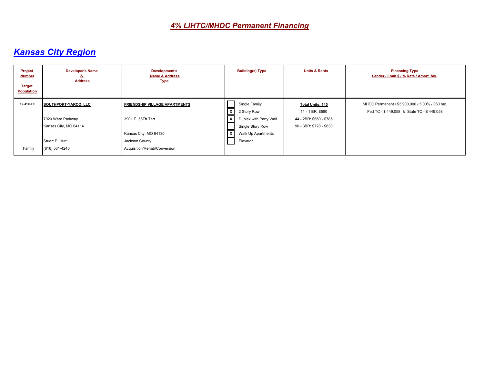| <b>Project</b><br><b>Number</b><br><b>Target</b><br><b>Population</b> | <b>Developer's Name</b><br><b>Address</b>  | <b>Development's</b><br><b>Name &amp; Address</b><br><b>Type</b> | <b>Building(s) Type</b>                                    | <b>Units &amp; Rents</b>                           | <b>Financing Type</b><br>Lender / Loan \$ / % Rate / Amort. Mo.                             |
|-----------------------------------------------------------------------|--------------------------------------------|------------------------------------------------------------------|------------------------------------------------------------|----------------------------------------------------|---------------------------------------------------------------------------------------------|
| 12-410-TE                                                             | SOUTHPORT-YARCO, LLC                       | <b>FRIENDSHIP VILLAGE APARTMENTS</b>                             | Single Family<br>l x<br>2 Story Row                        | <b>Total Units: 145</b><br>11 - 1 BR: \$580        | MHDC Permanent / \$3,900,000 / 5.00% / 360 mo.<br>Fed TC - \$449,058 & State TC - \$449,058 |
|                                                                       | 7920 Ward Parkway<br>Kansas City, MO 64114 | 3901 E. 56Th Terr.                                               | Duplex with Party Wall<br>$\mathsf{X}$<br>Single Story Row | 44 - 2BR: \$650 - \$785<br>90 - 3BR: \$720 - \$830 |                                                                                             |
|                                                                       |                                            | Kansas City, MO 64130                                            | Walk Up Apartments<br>l x                                  |                                                    |                                                                                             |
|                                                                       | Stuart P. Hunt                             | Jackson County                                                   | Elevator                                                   |                                                    |                                                                                             |
| Family                                                                | (816) 561-4240                             | Acquisition/Rehab/Conversion                                     |                                                            |                                                    |                                                                                             |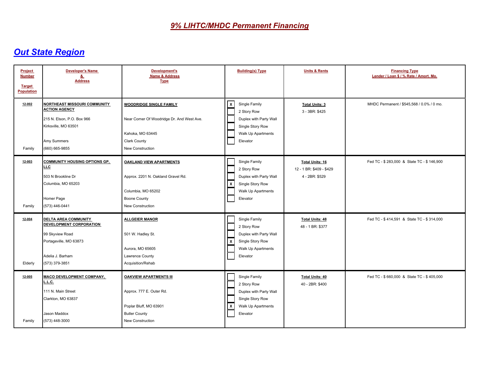| Project<br><b>Number</b><br><b>Target</b><br><b>Population</b> | <b>Developer's Name</b><br><u>&amp;</u><br><b>Address</b>                                                                                          | Development's<br>Name & Address<br><b>Type</b>                                                                                               | <b>Building(s) Type</b>                                                                                                                   | <b>Units &amp; Rents</b>                                             | <b>Financing Type</b><br>Lender / Loan \$ / % Rate / Amort. Mo. |
|----------------------------------------------------------------|----------------------------------------------------------------------------------------------------------------------------------------------------|----------------------------------------------------------------------------------------------------------------------------------------------|-------------------------------------------------------------------------------------------------------------------------------------------|----------------------------------------------------------------------|-----------------------------------------------------------------|
| 12-002<br>Family                                               | <b>NORTHEAST MISSOURI COMMUNITY</b><br><b>ACTION AGENCY</b><br>215 N. Elson, P.O. Box 966<br>Kirksville, MO 63501<br>Amy Summers<br>(660) 665-9855 | <b>WOODRIDGE SINGLE FAMILY</b><br>Near Corner Of Woodridge Dr. And West Ave.<br>Kahoka, MO 63445<br>Clark County<br>New Construction         | Single Family<br>$\mathbf{x}$<br>2 Story Row<br>Duplex with Party Wall<br>Single Story Row<br>Walk Up Apartments<br>Elevator              | <b>Total Units: 3</b><br>3 - 3BR: \$425                              | MHDC Permanent / \$545.568 / 0.0% / 0 mo.                       |
| 12-003<br>Family                                               | <b>COMMUNITY HOUSING OPTIONS GP.</b><br><b>LLC</b><br>503 N Brookline Dr<br>Columbia, MO 65203<br>Homer Page<br>(573) 446-0441                     | <b>OAKLAND VIEW APARTMENTS</b><br>Approx. 2201 N. Oakland Gravel Rd.<br>Columbia, MO 65202<br><b>Boone County</b><br><b>New Construction</b> | Single Family<br>2 Story Row<br>Duplex with Party Wall<br>  X<br>Single Story Row<br>Walk Up Apartments<br>Elevator                       | <b>Total Units: 16</b><br>12 - 1 BR: \$409 - \$429<br>4 - 2BR: \$529 | Fed TC - \$283,000 & State TC - \$146,900                       |
| $12 - 004$<br>Elderly                                          | <b>DELTA AREA COMMUNITY</b><br><b>DEVELOPMENT CORPORATION</b><br>99 Skyview Road<br>Portageville, MO 63873<br>Adelia J. Barham<br>(573) 379-3851   | <b>ALLGEIER MANOR</b><br>501 W. Hadley St.<br>Aurora, MO 65605<br>Lawrence County<br>Acquisition/Rehab                                       | Single Family<br>2 Story Row<br>Duplex with Party Wall<br>$\boldsymbol{\mathsf{x}}$<br>Single Story Row<br>Walk Up Apartments<br>Elevator | <b>Total Units: 48</b><br>48 - 1 BR: \$377                           | Fed TC - \$414,591 & State TC - \$314,000                       |
| $12 - 005$<br>Family                                           | <b>MACO DEVELOPMENT COMPANY,</b><br>L.L.C.<br>111 N. Main Street<br>Clarkton, MO 63837<br>Jason Maddox<br>(573) 448-3000                           | <b>OAKVIEW APARTMENTS III</b><br>Approx. 777 E. Outer Rd.<br>Poplar Bluff, MO 63901<br><b>Butler County</b><br>New Construction              | Single Family<br>2 Story Row<br>Duplex with Party Wall<br>Single Story Row<br>$\overline{\mathbf{x}}$<br>Walk Up Apartments<br>Elevator   | <b>Total Units: 40</b><br>40 - 2BR: \$400                            | Fed TC - \$660,000 & State TC - \$405,000                       |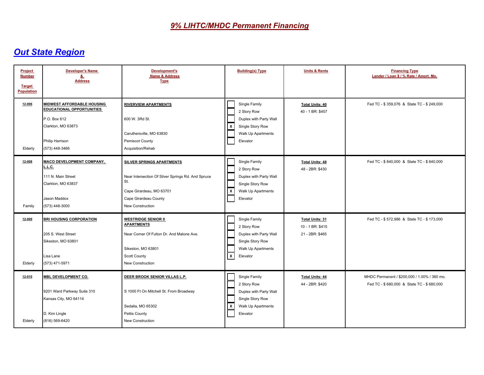| Project<br><b>Number</b><br><b>Target</b><br><b>Population</b> | <b>Developer's Name</b><br><u>&amp;</u><br><b>Address</b>                                                                                 | Development's<br><b>Name &amp; Address</b><br><b>Type</b>                                                                                                       | <b>Building(s) Type</b>                                                                                                      | <b>Units &amp; Rents</b>                                      | <b>Financing Type</b><br>Lender / Loan \$ / % Rate / Amort. Mo.                           |
|----------------------------------------------------------------|-------------------------------------------------------------------------------------------------------------------------------------------|-----------------------------------------------------------------------------------------------------------------------------------------------------------------|------------------------------------------------------------------------------------------------------------------------------|---------------------------------------------------------------|-------------------------------------------------------------------------------------------|
| 12-006<br>Elderly                                              | MIDWEST AFFORDABLE HOUSING<br><b>EDUCATIONAL OPPORTUNITIES</b><br>P.O. Box 612<br>Clarkton, MO 63873<br>Philip Harrison<br>(573) 448-3466 | <b>RIVERVIEW APARTMENTS</b><br>600 W. 3Rd St.<br>Caruthersville, MO 63830<br>Pemiscot County<br>Acquisition/Rehab                                               | Single Family<br>2 Story Row<br>Duplex with Party Wall<br>Single Story Row<br>$\mathbf{x}$<br>Walk Up Apartments<br>Elevator | <b>Total Units: 40</b><br>40 - 1 BR: \$457                    | Fed TC - \$359,076 & State TC - \$249,000                                                 |
| 12-008<br>Family                                               | <b>MACO DEVELOPMENT COMPANY,</b><br>L.L.C.<br>111 N. Main Street<br>Clarkton, MO 63837<br>Jason Maddox<br>(573) 448-3000                  | SILVER SPRINGS APARTMENTS<br>Near Intersection Of Silver Springs Rd. And Spruce<br>St.<br>Cape Girardeau, MO 63701<br>Cape Girardeau County<br>New Construction | Single Family<br>2 Story Row<br>Duplex with Party Wall<br>Single Story Row<br>  x<br>Walk Up Apartments<br>Elevator          | <b>Total Units: 48</b><br>48 - 2BR: \$430                     | Fed TC - \$840,000 & State TC - \$640,000                                                 |
| 12-009<br>Elderly                                              | <b>BRI HOUSING CORPORATION</b><br>205 S. West Street<br>Sikeston, MO 63801<br>Lisa Lane<br>(573) 471-5971                                 | <b>WESTRIDGE SENIOR II</b><br><b>APARTMENTS</b><br>Near Corner Of Fulton Dr. And Malone Ave.<br>Sikeston, MO 63801<br>Scott County<br>New Construction          | Single Family<br>2 Story Row<br>Duplex with Party Wall<br>Single Story Row<br>Walk Up Apartments<br>$\mathsf{X}$<br>Elevator | <b>Total Units: 31</b><br>10 - 1 BR: \$415<br>21 - 2BR: \$465 | Fed TC - \$572,986 & State TC - \$173,000                                                 |
| 12-010<br>Elderly                                              | <b>MBL DEVELOPMENT CO.</b><br>9201 Ward Parkway Suite 310<br>Kansas City, MO 64114<br>D. Kim Lingle<br>(816) 569-6420                     | DEER BROOK SENIOR VILLAS L.P.<br>S 1000 Ft On Mitchell St. From Broadway<br>Sedalia, MO 65302<br>Pettis County<br>New Construction                              | Single Family<br>2 Story Row<br>Duplex with Party Wall<br>Single Story Row<br>  x<br>Walk Up Apartments<br>Elevator          | <b>Total Units: 44</b><br>44 - 2BR: \$420                     | MHDC Permanent / \$200,000 / 1.00% / 360 mo.<br>Fed TC - \$680,000 & State TC - \$680,000 |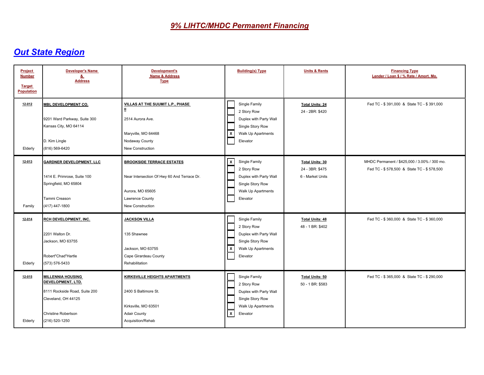| Project<br><b>Number</b><br><b>Target</b><br><b>Population</b> | <b>Developer's Name</b><br><u>&amp;</u><br><b>Address</b>                                                                                             | Development's<br><b>Name &amp; Address</b><br><b>Type</b>                                                                                  | <b>Building(s) Type</b>                                                                                                      | <b>Units &amp; Rents</b>                                      | <b>Financing Type</b><br>Lender / Loan \$ / % Rate / Amort. Mo.                           |
|----------------------------------------------------------------|-------------------------------------------------------------------------------------------------------------------------------------------------------|--------------------------------------------------------------------------------------------------------------------------------------------|------------------------------------------------------------------------------------------------------------------------------|---------------------------------------------------------------|-------------------------------------------------------------------------------------------|
| 12-012<br>Elderly                                              | <b>MBL DEVELOPMENT CO.</b><br>9201 Ward Parkway, Suite 300<br>Kansas City, MO 64114<br>D. Kim Lingle<br>(816) 569-6420                                | VILLAS AT THE SUUMIT L.P., PHASE<br>Ш<br>2514 Aurora Ave.<br>Maryville, MO 64468<br>Nodaway County<br>New Construction                     | Single Family<br>2 Story Row<br>Duplex with Party Wall<br>Single Story Row<br>  x<br>Walk Up Apartments<br>Elevator          | <b>Total Units: 24</b><br>24 - 2BR: \$420                     | Fed TC - \$391,000 & State TC - \$391,000                                                 |
| 12-013<br>Family                                               | <b>GARDNER DEVELOPMENT, LLC</b><br>1414 E. Primrose, Suite 100<br>Springfield, MO 65804<br>Tammi Creason<br>(417) 447-1800                            | <b>BROOKSIDE TERRACE ESTATES</b><br>Near Intersection Of Hwy 60 And Terrace Dr.<br>Aurora, MO 65605<br>Lawrence County<br>New Construction | $\mathsf{X}$<br>Single Family<br>2 Story Row<br>Duplex with Party Wall<br>Single Story Row<br>Walk Up Apartments<br>Elevator | <b>Total Units: 30</b><br>24 - 3BR: \$475<br>6 - Market Units | MHDC Permanent / \$425,000 / 3.00% / 300 mo.<br>Fed TC - \$578,500 & State TC - \$578,500 |
| $12 - 014$<br>Elderly                                          | <b>RCH DEVELOPMENT, INC.</b><br>2201 Walton Dr.<br>Jackson, MO 63755<br>Robert"Chad"Hartle<br>(573) 576-5433                                          | <b>JACKSON VILLA</b><br>135 Shawnee<br>Jackson, MO 63755<br>Cape Girardeau County<br>Rehabilitation                                        | Single Family<br>2 Story Row<br>Duplex with Party Wall<br>Single Story Row<br>$\mathsf{X}$<br>Walk Up Apartments<br>Elevator | <b>Total Units: 48</b><br>48 - 1 BR: \$402                    | Fed TC - \$360,000 & State TC - \$360,000                                                 |
| $12 - 015$<br>Elderly                                          | <b>MILLENNIA HOUSING</b><br>DEVELOPMENT, LTD.<br>8111 Rockside Road, Suite 200<br>Cleveland, OH 44125<br><b>Christine Robertson</b><br>(216) 520-1250 | KIRKSVILLE HEIGHTS APARTMENTS<br>2400 S Baltimore St.<br>Kirksville, MO 63501<br><b>Adair County</b><br>Acquisition/Rehab                  | Single Family<br>2 Story Row<br>Duplex with Party Wall<br>Single Story Row<br>Walk Up Apartments<br>Γx<br>Elevator           | <b>Total Units: 50</b><br>50 - 1 BR: \$583                    | Fed TC - \$365,000 & State TC - \$290,000                                                 |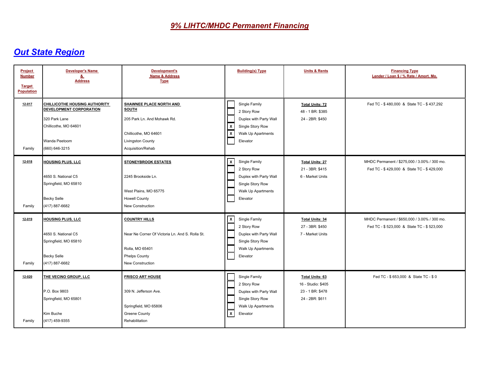| Project<br><b>Number</b><br><b>Target</b><br><b>Population</b> | <b>Developer's Name</b><br><u>&amp;</u><br><b>Address</b>                                                                                    | <b>Development's</b><br>Name & Address<br><b>Type</b>                                                                                  | <b>Building(s) Type</b>                                                                                                      | <b>Units &amp; Rents</b>                                                            | <b>Financing Type</b><br>Lender / Loan \$ / % Rate / Amort. Mo.                           |
|----------------------------------------------------------------|----------------------------------------------------------------------------------------------------------------------------------------------|----------------------------------------------------------------------------------------------------------------------------------------|------------------------------------------------------------------------------------------------------------------------------|-------------------------------------------------------------------------------------|-------------------------------------------------------------------------------------------|
| 12-017<br>Family                                               | CHILLICOTHE HOUSING AUTHORITY<br><b>DEVELOPMENT CORPORATION</b><br>320 Park Lane<br>Chillicothe, MO 64601<br>Wanda Peetoom<br>(660) 646-3215 | SHAWNEE PLACE NORTH AND<br>SOUTH<br>205 Park Ln. And Mohawk Rd.<br>Chillicothe, MO 64601<br>Livingston County<br>Acquisition/Rehab     | Single Family<br>2 Story Row<br>Duplex with Party Wall<br>  x<br>Single Story Row<br>⊻<br>Walk Up Apartments<br>Elevator     | <b>Total Units: 72</b><br>48 - 1 BR: \$385<br>24 - 2BR: \$450                       | Fed TC - \$480,000 & State TC - \$437,292                                                 |
| 12-018<br>Family                                               | HOUSING PLUS, LLC<br>4650 S. National C5<br>Springfield, MO 65810<br><b>Becky Selle</b><br>(417) 887-6682                                    | <b>STONEYBROOK ESTATES</b><br>2245 Brookside Ln.<br>West Plains, MO 65775<br><b>Howell County</b><br><b>New Construction</b>           | x<br>Single Family<br>2 Story Row<br>Duplex with Party Wall<br>Single Story Row<br>Walk Up Apartments<br>Elevator            | <b>Total Units: 27</b><br>21 - 3BR: \$415<br>6 - Market Units                       | MHDC Permanent / \$275,000 / 3.00% / 300 mo.<br>Fed TC - \$429,000 & State TC - \$429,000 |
| 12-019<br>Family                                               | <b>HOUSING PLUS, LLC</b><br>4650 S. National C5<br>Springfield, MO 65810<br><b>Becky Selle</b><br>(417) 887-6682                             | <b>COUNTRY HILLS</b><br>Near Ne Corner Of Victoria Ln. And S. Rolla St.<br>Rolla, MO 65401<br><b>Phelps County</b><br>New Construction | x<br>Single Family<br>2 Story Row<br>Duplex with Party Wall<br>Single Story Row<br>Walk Up Apartments<br>Elevator            | <b>Total Units: 34</b><br>27 - 3BR: \$450<br>7 - Market Units                       | MHDC Permanent / \$650,000 / 3.00% / 300 mo.<br>Fed TC - \$523,000 & State TC - \$523,000 |
| 12-020<br>Family                                               | THE VECINO GROUP, LLC<br>P.O. Box 9803<br>Springfield, MO 65801<br>Kim Buche<br>(417) 459-9355                                               | <b>FRISCO ART HOUSE</b><br>309 N. Jefferson Ave.<br>Springfield, MO 65806<br><b>Greene County</b><br>Rehabilitation                    | Single Family<br>2 Story Row<br>Duplex with Party Wall<br>Single Story Row<br>Walk Up Apartments<br>$\mathbf{x}$<br>Elevator | <b>Total Units: 63</b><br>16 - Studio: \$405<br>23 - 1 BR: \$478<br>24 - 2BR: \$611 | Fed TC - \$653,000 & State TC - \$0                                                       |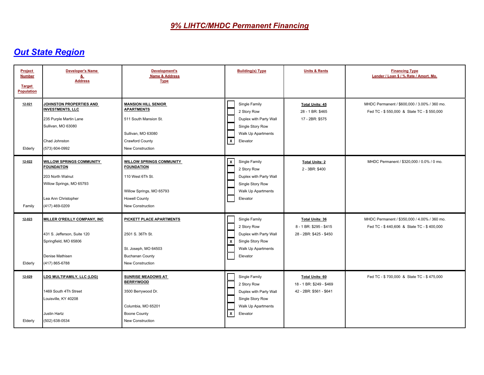| Project<br><b>Number</b><br><b>Target</b><br><b>Population</b> | <b>Developer's Name</b><br><u>&amp;</u><br><b>Address</b>                                                                                     | Development's<br>Name & Address<br><b>Type</b>                                                                                                   | <b>Building(s) Type</b>                                                                                                                 | <b>Units &amp; Rents</b>                                                      | <b>Financing Type</b><br>Lender / Loan \$ / % Rate / Amort. Mo.                           |
|----------------------------------------------------------------|-----------------------------------------------------------------------------------------------------------------------------------------------|--------------------------------------------------------------------------------------------------------------------------------------------------|-----------------------------------------------------------------------------------------------------------------------------------------|-------------------------------------------------------------------------------|-------------------------------------------------------------------------------------------|
| 12-021<br>Elderly                                              | <b>IOHNSTON PROPERTIES AND</b><br><b>INVESTMENTS, LLC</b><br>235 Purple Martin Lane<br>Sullivan, MO 63080<br>Chad Johnston<br>(573) 604-0992  | <b>MANSION HILL SENIOR</b><br><b>APARTMENTS</b><br>511 South Mansion St.<br>Sullivan, MO 63080<br>Crawford County<br>New Construction            | Single Family<br>2 Story Row<br>Duplex with Party Wall<br>Single Story Row<br>Walk Up Apartments<br>$\mathsf{X}$<br>Elevator            | <b>Total Units: 45</b><br>28 - 1 BR: \$465<br>17 - 2BR: \$575                 | MHDC Permanent / \$600,000 / 3.00% / 360 mo.<br>Fed TC - \$550,000 & State TC - \$550,000 |
| 12-022<br>Family                                               | <b>WILLOW SPRINGS COMMUNITY</b><br><b>FOUNDAITON</b><br>203 North Walnut<br>Willow Springs, MO 65793<br>Lea Ann Christopher<br>(417) 469-0209 | <b>WILLOW SPRINGS COMMUNITY</b><br><b>FOUNDATION</b><br>110 West 6Th St.<br>Willow Springs, MO 65793<br><b>Howell County</b><br>New Construction | $\overline{\mathsf{x}}$<br>Single Family<br>2 Story Row<br>Duplex with Party Wall<br>Single Story Row<br>Walk Up Apartments<br>Elevator | <b>Total Units: 2</b><br>2 - 3BR: \$400                                       | MHDC Permanent / \$320,000 / 0.0% / 0 mo.                                                 |
| 12-023<br>Elderly                                              | <b>MILLER O'REILLY COMPANY, INC.</b><br>431 S. Jefferson, Suite 120<br>Springfield, MO 65806<br>Denise Mathisen<br>(417) 865-6788             | <b>PICKETT PLACE APARTMENTS</b><br>2501 S. 36Th St.<br>St. Joseph, MO 64503<br><b>Buchanan County</b><br>New Construction                        | Single Family<br>2 Story Row<br>Duplex with Party Wall<br>l x<br>Single Story Row<br>Walk Up Apartments<br>Elevator                     | <b>Total Units: 36</b><br>8 - 1 BR: \$295 - \$415<br>28 - 2BR: \$425 - \$450  | MHDC Permanent / \$350,000 / 4.00% / 360 mo.<br>Fed TC - \$440,606 & State TC - \$400,000 |
| 12-029<br>Elderly                                              | LDG MULTIFAMILY, LLC (LDG)<br>1469 South 4Th Street<br>Louisville, KY 40208<br>Justin Hartz<br>(502) 638-0534                                 | <b>SUNRISE MEADOWS AT</b><br><b>BERRYWOOD</b><br>3500 Berrywood Dr.<br>Columbia, MO 65201<br><b>Boone County</b><br>New Construction             | Single Family<br>2 Story Row<br>Duplex with Party Wall<br>Single Story Row<br>Walk Up Apartments<br>$\sqrt{x}$<br>Elevator              | <b>Total Units: 60</b><br>18 - 1 BR: \$249 - \$469<br>42 - 2BR: \$561 - \$641 | Fed TC - \$700,000 & State TC - \$475,000                                                 |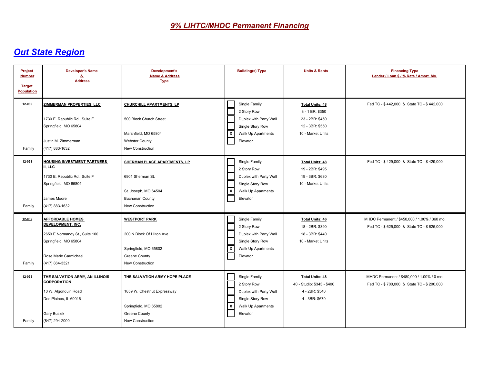| Project<br><b>Number</b><br><b>Target</b><br><b>Population</b> | <b>Developer's Name</b><br>&<br><b>Address</b>                                                                                                     | Development's<br>Name & Address<br><b>Type</b>                                                                                  | <b>Building(s) Type</b>                                                                                                                 | <b>Units &amp; Rents</b>                                                                             | <b>Financing Type</b><br>Lender / Loan \$ / % Rate / Amort. Mo.                           |
|----------------------------------------------------------------|----------------------------------------------------------------------------------------------------------------------------------------------------|---------------------------------------------------------------------------------------------------------------------------------|-----------------------------------------------------------------------------------------------------------------------------------------|------------------------------------------------------------------------------------------------------|-------------------------------------------------------------------------------------------|
| 12-030<br>Family                                               | <b>ZIMMERMAN PROPERTIES, LLC</b><br>1730 E. Republic Rd., Suite F<br>Springfield, MO 65804<br>Justin M. Zimmerman<br>(417) 883-1632                | <b>CHURCHILL APARTMENTS, LP</b><br>500 Block Church Street<br>Marshfield, MO 65804<br><b>Webster County</b><br>New Construction | Single Family<br>2 Story Row<br>Duplex with Party Wall<br>Single Story Row<br>  x<br>Walk Up Apartments<br>Elevator                     | <b>Total Units: 48</b><br>3 - 1 BR: \$350<br>23 - 2BR: \$450<br>12 - 3BR: \$550<br>10 - Market Units | Fed TC - \$442,000 & State TC - \$442,000                                                 |
| 12-031<br>Family                                               | <b>HOUSING INVESTMENT PARTNERS</b><br>II, LLC<br>1730 E. Republic Rd., Suite F<br>Springfield, MO 65804<br>James Moore<br>(417) 883-1632           | SHERMAN PLACE APARTMENTS, LP<br>6901 Sherman St.<br>St. Joseph, MO 64504<br><b>Buchanan County</b><br>New Construction          | Single Family<br>2 Story Row<br>Duplex with Party Wall<br>Single Story Row<br>$\mathsf{X}$<br>Walk Up Apartments<br>Elevator            | <b>Total Units: 48</b><br>19 - 2BR: \$495<br>19 - 3BR: \$630<br>10 - Market Units                    | Fed TC - \$429,000 & State TC - \$429,000                                                 |
| 12-032<br>Family                                               | <b>AFFORDABLE HOMES</b><br>DEVELOPMENT, INC.<br>2659 E Normandy St., Suite 100<br>Springfield, MO 65804<br>Rose Marie Carmichael<br>(417) 864-3321 | <b>WESTPORT PARK</b><br>200 N Block Of Hilton Ave.<br>Springfield, MO 65802<br>Greene County<br>New Construction                | Single Family<br>2 Story Row<br>Duplex with Party Wall<br>Single Story Row<br>$\overline{\mathbf{x}}$<br>Walk Up Apartments<br>Elevator | <b>Total Units: 46</b><br>18 - 2BR: \$390<br>18 - 3BR: \$440<br>10 - Market Units                    | MHDC Permanent / \$450,000 / 1.00% / 360 mo.<br>Fed TC - \$625,000 & State TC - \$625,000 |
| 12-033<br>Family                                               | THE SALVATION ARMY, AN ILLINOIS<br><b>CORPORATION</b><br>10 W. Algonquin Road<br>Des Plaines, IL 60016<br><b>Gary Busiek</b><br>(847) 294-2000     | THE SALVATION ARMY HOPE PLACE<br>1859 W. Chestnut Expressway<br>Springfield, MO 65802<br>Greene County<br>New Construction      | Single Family<br>2 Story Row<br>Duplex with Party Wall<br>Single Story Row<br>Γx<br>Walk Up Apartments<br>Elevator                      | <b>Total Units: 48</b><br>40 - Studio: \$343 - \$400<br>4 - 2BR: \$540<br>4 - 3BR: \$670             | MHDC Permanent / \$480,000 / 1.00% / 0 mo.<br>Fed TC - \$700,000 & State TC - \$200,000   |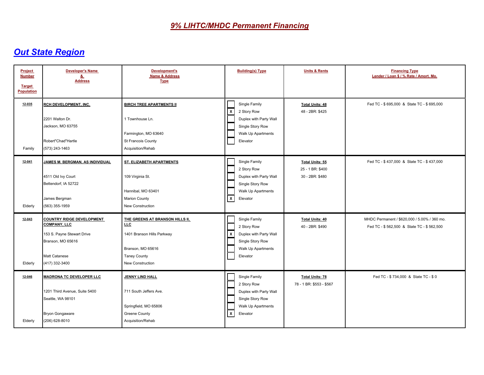| Project<br><b>Number</b><br><b>Target</b><br><b>Population</b> | <b>Developer's Name</b><br><u>&amp;</u><br><b>Address</b>                                                                                     | Development's<br><b>Name &amp; Address</b><br><b>Type</b>                                                                                   | <b>Building(s) Type</b>                                                                                                                 | <b>Units &amp; Rents</b>                               | <b>Financing Type</b><br>Lender / Loan \$ / % Rate / Amort. Mo.                           |
|----------------------------------------------------------------|-----------------------------------------------------------------------------------------------------------------------------------------------|---------------------------------------------------------------------------------------------------------------------------------------------|-----------------------------------------------------------------------------------------------------------------------------------------|--------------------------------------------------------|-------------------------------------------------------------------------------------------|
| 12-035<br>Family                                               | RCH DEVELOPMENT, INC.<br>2201 Walton Dr.<br>Jackson, MO 63755<br>Robert"Chad"Hartle<br>(573) 243-1463                                         | <b>BIRCH TREE APARTMENTS II</b><br>1 Townhouse Ln.<br>Farmington, MO 63640<br>St Francois County<br>Acquisition/Rehab                       | Single Family<br>$\sqrt{x}$<br>2 Story Row<br>Duplex with Party Wall<br>Single Story Row<br>Walk Up Apartments<br>Elevator              | <b>Total Units: 48</b><br>48 - 2BR: \$425              | Fed TC - \$695,000 & State TC - \$695,000                                                 |
| 12-041<br>Elderly                                              | JAMES M. BERGMAN, AS INDIVIDUAL<br>4511 Old Ivy Court<br>Bettendorf. IA 52722<br>James Bergman<br>(563) 355-1959                              | ST. ELIZABETH APARTMENTS<br>109 Virginia St.<br>Hannibal, MO 63401<br><b>Marion County</b><br>New Construction                              | Single Family<br>2 Story Row<br>Duplex with Party Wall<br>Single Story Row<br>Walk Up Apartments<br>$\overline{\mathbf{x}}$<br>Elevator | Total Units: 55<br>25 - 1 BR: \$400<br>30 - 2BR: \$480 | Fed TC - \$437,000 & State TC - \$437,000                                                 |
| $12 - 043$<br>Elderly                                          | <b>COUNTRY RIDGE DEVELOPMENT</b><br><b>COMPANY, LLC</b><br>153 S. Payne Stewart Drive<br>Branson, MO 65616<br>Matt Catanese<br>(417) 332-3400 | THE GREENS AT BRANSON HILLS II,<br><b>LLC</b><br>1401 Branson Hills Parkway<br>Branson, MO 65616<br><b>Taney County</b><br>New Construction | Single Family<br>2 Story Row<br>$\mathsf{x}$<br>Duplex with Party Wall<br>Single Story Row<br>Walk Up Apartments<br>Elevator            | <b>Total Units: 40</b><br>40 - 2BR: \$490              | MHDC Permanent / \$620,000 / 5.00% / 360 mo.<br>Fed TC - \$562,500 & State TC - \$562,500 |
| 12-046<br>Elderly                                              | <b>MADRONA TC DEVELOPER LLC</b><br>1201 Third Avenue, Suite 5400<br>Seattle, WA 98101<br><b>Bryon Gongaware</b><br>(206) 628-8010             | <b>JENNY LIND HALL</b><br>711 South Jeffers Ave.<br>Springfield, MO 65806<br>Greene County<br>Acquisition/Rehab                             | Single Family<br>2 Story Row<br>Duplex with Party Wall<br>Single Story Row<br>Walk Up Apartments<br>⊺x<br>Elevator                      | <b>Total Units: 78</b><br>78 - 1 BR: \$553 - \$567     | Fed TC - \$734,000 & State TC - \$0                                                       |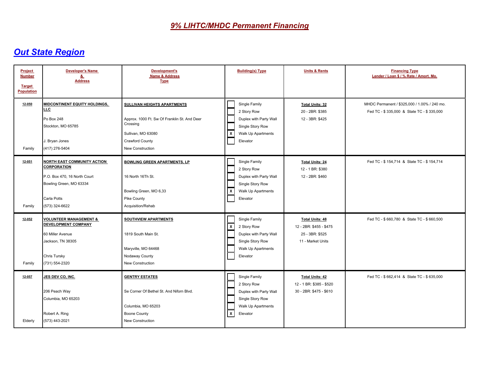| Project<br><b>Number</b><br><b>Target</b><br><b>Population</b> | <b>Developer's Name</b><br><u>&amp;</u><br><b>Address</b>                                                                                                   | Development's<br><b>Name &amp; Address</b><br><b>Type</b>                                                                                                   | <b>Building(s) Type</b>                                                                                                    | <b>Units &amp; Rents</b>                                                                  | <b>Financing Type</b><br>Lender / Loan \$ / % Rate / Amort. Mo.                           |
|----------------------------------------------------------------|-------------------------------------------------------------------------------------------------------------------------------------------------------------|-------------------------------------------------------------------------------------------------------------------------------------------------------------|----------------------------------------------------------------------------------------------------------------------------|-------------------------------------------------------------------------------------------|-------------------------------------------------------------------------------------------|
| 12-050<br>Family                                               | <b>MIDCONTINENT EQUITY HOLDINGS,</b><br>LLC<br>Po Box 248<br>Stockton, MO 65785<br>J. Bryan Jones<br>(417) 276-5404                                         | <b>SULLIVAN HEIGHTS APARTMENTS</b><br>Approx. 1000 Ft. Sw Of Franklin St. And Deer<br>Crossing<br>Sullivan, MO 63080<br>Crawford County<br>New Construction | Single Family<br>2 Story Row<br>Duplex with Party Wall<br>Single Story Row<br>l x<br>Walk Up Apartments<br>Elevator        | <b>Total Units: 32</b><br>20 - 2BR: \$385<br>12 - 3BR: \$425                              | MHDC Permanent / \$325,000 / 1.00% / 240 mo.<br>Fed TC - \$335,000 & State TC - \$335,000 |
| 12-051<br>Family                                               | <b>NORTH EAST COMMUNITY ACTION</b><br><b>CORPORATION</b><br>P.O. Box 470, 16 North Court<br>Bowling Green, MO 63334<br><b>Carla Potts</b><br>(573) 324-6622 | <b>BOWLING GREEN APARTMENTS, LP</b><br>16 North 16Th St.<br>Bowling Green, MO 6,33<br>Pike County<br>Acquisition/Rehab                                      | Single Family<br>2 Story Row<br>Duplex with Party Wall<br>Single Story Row<br>  x<br>Walk Up Apartments<br>Elevator        | <b>Total Units: 24</b><br>12 - 1 BR: \$380<br>12 - 2BR: \$460                             | Fed TC - \$ 154,714 & State TC - \$ 154,714                                               |
| $12 - 052$<br>Family                                           | <b>VOLUNTEER MANAGEMENT &amp;</b><br><b>DEVELOPMENT COMPANY</b><br>60 Miller Avenue<br>Jackson, TN 38305<br><b>Chris Tursky</b><br>(731) 554-2320           | <b>SOUTHVIEW APARTMENTS</b><br>1819 South Main St.<br>Maryville, MO 64468<br>Nodaway County<br><b>New Construction</b>                                      | Single Family<br>  X<br>2 Story Row<br>Duplex with Party Wall<br>Single Story Row<br>Walk Up Apartments<br>Elevator        | <b>Total Units: 48</b><br>12 - 2BR: \$455 - \$475<br>25 - 3BR: \$525<br>11 - Market Units | Fed TC - \$660,780 & State TC - \$660,500                                                 |
| $12 - 057$<br>Elderly                                          | JES DEV CO, INC.<br>206 Peach Way<br>Columbia, MO 65203<br>Robert A. Ring<br>(573) 443-2021                                                                 | <b>GENTRY ESTATES</b><br>Se Corner Of Bethel St. And Niforn Blvd.<br>Columbia, MO 65203<br><b>Boone County</b><br>New Construction                          | Single Family<br>2 Story Row<br>Duplex with Party Wall<br>Single Story Row<br>Walk Up Apartments<br>$\sqrt{x}$<br>Elevator | <b>Total Units: 42</b><br>12 - 1 BR: \$385 - \$520<br>30 - 2BR: \$475 - \$610             | Fed TC - \$662,414 & State TC - \$635,000                                                 |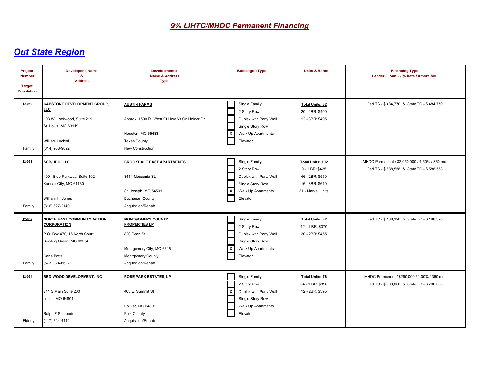| Project<br><b>Number</b><br><b>Target</b><br><b>Population</b> | <b>Developer's Name</b><br>&<br><b>Address</b>                                                                                                       | <b>Development's</b><br><b>Name &amp; Address</b><br><b>Type</b>                                                                     | <b>Building(s) Type</b>                                                                                                                 | <b>Units &amp; Rents</b>                                                                       | <b>Financing Type</b><br>Lender / Loan \$ / % Rate / Amort. Mo.                             |
|----------------------------------------------------------------|------------------------------------------------------------------------------------------------------------------------------------------------------|--------------------------------------------------------------------------------------------------------------------------------------|-----------------------------------------------------------------------------------------------------------------------------------------|------------------------------------------------------------------------------------------------|---------------------------------------------------------------------------------------------|
| 12-059<br>Family                                               | <b>CAPSTONE DEVELOPMENT GROUP.</b><br>LLC.<br>103 W. Lockwood, Suite 219<br>St. Louis, MO 63119<br>William Luchini<br>(314) 968-9092                 | <b>AUSTIN FARMS</b><br>Approx. 1500 Ft. West Of Hwy 63 On Holder Dr.<br>Houston, MO 65483<br><b>Texas County</b><br>New Construction | Single Family<br>2 Story Row<br>Duplex with Party Wall<br>Single Story Row<br>  x<br>Walk Up Apartments<br>Elevator                     | <b>Total Units: 32</b><br>20 - 2BR: \$400<br>12 - 3BR: \$495                                   | Fed TC - \$484,770 & State TC - \$484,770                                                   |
| 12-061<br>Family                                               | SCB/HDC, LLC<br>4001 Blue Parkway, Suite 102<br>Kansas City, MO 64130<br>William H. Jones<br>(816) 627-2140                                          | <b>BROOKDALE EAST APARTMENTS</b><br>3414 Messanie St.<br>St. Joseph, MO 64501<br><b>Buchanan County</b><br>Acquisition/Rehab         | Single Family<br>2 Story Row<br>Duplex with Party Wall<br>Single Story Row<br>  x<br>Walk Up Apartments<br>Elevator                     | Total Units: 102<br>9 - 1 BR: \$425<br>46 - 2BR: \$550<br>16 - 3BR: \$610<br>31 - Market Units | MHDC Permanent / \$2,050,000 / 4.50% / 360 mo.<br>Fed TC - \$588,558 & State TC - \$588,558 |
| 12-062<br>Family                                               | <b>NORTH EAST COMMUNITY ACTION</b><br><b>CORPORATION</b><br>P.O. Box 470, 16 North Court<br>Bowling Green, MO 63334<br>Carla Potts<br>(573) 324-6622 | <b>MONTGOMERY COUNTY</b><br>PROPERTIES LP<br>820 Pearl St.<br>Montgomery City, MO 63461<br>Montgomery County<br>Acquisition/Rehab    | Single Family<br>2 Story Row<br>Duplex with Party Wall<br>Single Story Row<br>$\overline{\mathbf{x}}$<br>Walk Up Apartments<br>Elevator | <b>Total Units: 32</b><br>12 - 1 BR: \$370<br>20 - 2BR: \$455                                  | Fed TC - \$188,390 & State TC - \$188,390                                                   |
| 12-064<br>Elderly                                              | <b>RED-WOOD DEVELOPMENT, INC</b><br>211 S Main Suite 200<br>Joplin, MO 64801<br>Ralph F Schroeder<br>(417) 624-4144                                  | ROSE PARK ESTATES, LP<br>403 E. Summit St<br>Bolivar, MO 64801<br>Polk County<br>Acquisition/Rehab                                   | Single Family<br>2 Story Row<br>l x<br>Duplex with Party Wall<br>Single Story Row<br>Walk Up Apartments<br>Elevator                     | <b>Total Units: 76</b><br>64 - 1 BR: \$356<br>12 - 2BR: \$395                                  | MHDC Permanent / \$290,000 / 1.00% / 360 mo.<br>Fed TC - \$900,000 & State TC - \$700,000   |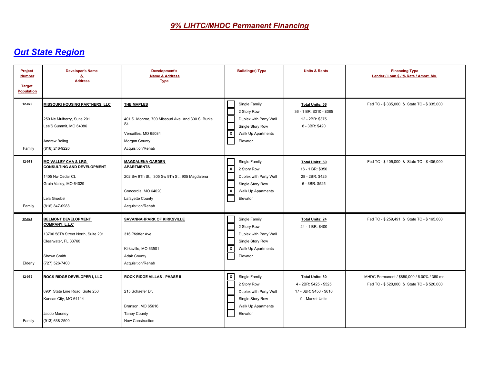| Project<br><b>Number</b><br><b>Target</b><br><b>Population</b> | <b>Developer's Name</b><br><u>&amp;</u><br><b>Address</b>                                                                                            | <b>Development's</b><br>Name & Address<br><b>Type</b>                                                                                                         | <b>Building(s) Type</b>                                                                                                                 | <b>Units &amp; Rents</b>                                                                        | <b>Financing Type</b><br>Lender / Loan \$ / % Rate / Amort. Mo.                           |
|----------------------------------------------------------------|------------------------------------------------------------------------------------------------------------------------------------------------------|---------------------------------------------------------------------------------------------------------------------------------------------------------------|-----------------------------------------------------------------------------------------------------------------------------------------|-------------------------------------------------------------------------------------------------|-------------------------------------------------------------------------------------------|
| 12-070<br>Family                                               | <b>MISSOURI HOUSING PARTNERS, LLC</b><br>250 Ne Mulberry, Suite 201<br>Lee'S Summit, MO 64086<br>Andrew Boling<br>(816) 246-9220                     | <b>THE MAPLES</b><br>401 S. Monroe, 700 Missouri Ave. And 300 S. Burke<br>St.<br>Versailles, MO 65084<br>Morgan County<br>Acquisition/Rehab                   | Single Family<br>2 Story Row<br>Duplex with Party Wall<br>Single Story Row<br>  x<br>Walk Up Apartments<br>Elevator                     | <b>Total Units: 56</b><br>36 - 1 BR: \$310 - \$385<br>12 - 2BR: \$375<br>8 - 3BR: \$420         | Fed TC - \$335,000 & State TC - \$335,000                                                 |
| 12-071<br>Family                                               | <b>MO VALLEY CAA &amp; LRG</b><br><b>CONSULTING AND DEVELOPMENT</b><br>1405 Nw Cedar Ct.<br>Grain Valley, MO 64029<br>Lela Gruebel<br>(816) 847-0988 | <b>MAGDALENA GARDEN</b><br><b>APARTMENTS</b><br>202 Sw 9Th St., 305 Sw 9Th St., 905 Magdalena<br>Concordia, MO 64020<br>Lafayette County<br>Acquisition/Rehab | Single Family<br> x<br>2 Story Row<br>Duplex with Party Wall<br>Single Story Row<br>  x<br>Walk Up Apartments<br>Elevator               | <b>Total Units: 50</b><br>16 - 1 BR: \$350<br>28 - 2BR: \$425<br>6 - 3BR: \$525                 | Fed TC - \$405,000 & State TC - \$405,000                                                 |
| 12-074<br>Elderly                                              | <b>BELMONT DEVELOPMENT</b><br>COMPANY, L.L.C<br>13700 58Th Street North, Suite 201<br>Clearwater, FL 33760<br>Shawn Smith<br>(727) 526-7400          | <b>SAVANNAHPARK OF KIRKSVILLE</b><br>316 Pfeiffer Ave.<br>Kirksville, MO 63501<br><b>Adair County</b><br>Acquisition/Rehab                                    | Single Family<br>2 Story Row<br>Duplex with Party Wall<br>Single Story Row<br>$\overline{\mathsf{x}}$<br>Walk Up Apartments<br>Elevator | <b>Total Units: 24</b><br>24 - 1 BR: \$400                                                      | Fed TC - \$259,491 & State TC - \$165,000                                                 |
| 12-075<br>Family                                               | ROCK RIDGE DEVELOPER I, LLC<br>8901 State Line Road, Suite 250<br>Kansas City, MO 64114<br>Jacob Mooney<br>(913) 638-2500                            | ROCK RIDGE VILLAS - PHASE II<br>215 Schaefer Dr.<br>Branson, MO 65616<br><b>Taney County</b><br>New Construction                                              | $\overline{\mathsf{x}}$<br>Single Family<br>2 Story Row<br>Duplex with Party Wall<br>Single Story Row<br>Walk Up Apartments<br>Elevator | <b>Total Units: 30</b><br>4 - 2BR: \$425 - \$525<br>17 - 3BR: \$450 - \$610<br>9 - Market Units | MHDC Permanent / \$850,000 / 6.00% / 360 mo.<br>Fed TC - \$520,000 & State TC - \$520,000 |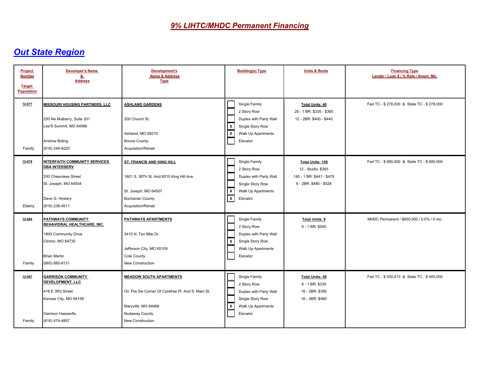| Project<br><b>Number</b><br><b>Target</b><br><b>Population</b> | <b>Developer's Name</b><br>&<br><b>Address</b>                                                                                                   | Development's<br>Name & Address<br><b>Type</b>                                                                                                  | <b>Building(s) Type</b>                                                                                                                        | <b>Units &amp; Rents</b>                                                                             | <b>Financing Type</b><br>Lender / Loan \$ / % Rate / Amort. Mo. |
|----------------------------------------------------------------|--------------------------------------------------------------------------------------------------------------------------------------------------|-------------------------------------------------------------------------------------------------------------------------------------------------|------------------------------------------------------------------------------------------------------------------------------------------------|------------------------------------------------------------------------------------------------------|-----------------------------------------------------------------|
| 12-077<br>Family                                               | <b>MISSOURI HOUSING PARTNERS, LLC</b><br>250 Ne Mulberry, Suite 201<br>Lee'S Summit, MO 64086<br>Andrew Boling<br>(816) 246-9220                 | <b>ASHLAND GARDENS</b><br>200 Church St.<br>Ashland, MO 65010<br><b>Boone County</b><br>Acquisition/Rehab                                       | Single Family<br>2 Story Row<br>Duplex with Party Wall<br>  x<br>Single Story Row<br>$\boxed{\mathbf{x}}$<br>Walk Up Apartments<br>Elevator    | <b>Total Units: 40</b><br>28 - 1 BR: \$335 - \$365<br>12 - 2BR: \$400 - \$440                        | Fed TC - \$278,000 & State TC - \$278,000                       |
| 12-078<br>Elderly                                              | <b>INTERFAITH COMMUNITY SERVICES</b><br><b>DBA INTERSERV</b><br>200 Cheerokee Street<br>St. Joseph, MO 64504<br>Dave G. Howery<br>(816) 238-4511 | ST. FRANCIS AND KING HILL<br>1601 S. 38Th St. And 6010 King Hill Ave.<br>St. Joseph, MO 64507<br><b>Buchanan County</b><br>Acquisition/Rehab    | Single Family<br>2 Story Row<br>Duplex with Party Wall<br>Single Story Row<br>  x<br>Walk Up Apartments<br>$\overline{\mathbf{x}}$<br>Elevator | <b>Total Units: 158</b><br>12 - Studio: \$393<br>140 - 1 BR: \$441 - \$479<br>6 - 2BR: \$480 - \$528 | Fed TC - \$690,000 & State TC - \$690,000                       |
| 12-084<br>Family                                               | PATHWAYS COMMUNITY<br>BEHAVIORAL HEALTHCARE, INC.<br>1800 Community Drive<br>Clinton, MO 64735<br><b>Brian Martin</b><br>(660) 885-8131          | PATHWAYS APARTMENTS<br>3415 N. Ten Mile Dr.<br>Jefferson City, MO 65109<br>Cole County<br>New Construction                                      | Single Family<br>2 Story Row<br>Duplex with Party Wall<br>$\mathsf{x}$<br>Single Story Row<br>Walk Up Apartments<br>Elevator                   | <b>Total Units: 8</b><br>8 - 1 BR: \$545                                                             | MHDC Permanent / \$650,000 / 0.0% / 0 mo.                       |
| 12-087<br>Family                                               | <b>GARRISON COMMUNITY</b><br>DEVELOPMENT, LLC<br>416 E 3Rd Street<br>Kansas City, MO 64106<br>Garrison Hassenflu<br>(816) 474-4857               | <b>MEADOW SOUTH APARTMENTS</b><br>On The Sw Corner Of Carefree PI. And S. Main St.<br>Maryville, MO 64468<br>Nodaway County<br>New Construction | Single Family<br>2 Story Row<br>Duplex with Party Wall<br>Single Story Row<br>  x<br>Walk Up Apartments<br>Elevator                            | <b>Total Units: 40</b><br>8 - 1 BR: \$335<br>16 - 2BR: \$395<br>16 - 3BR: \$460                      | Fed TC - \$550,413 & State TC - \$400,000                       |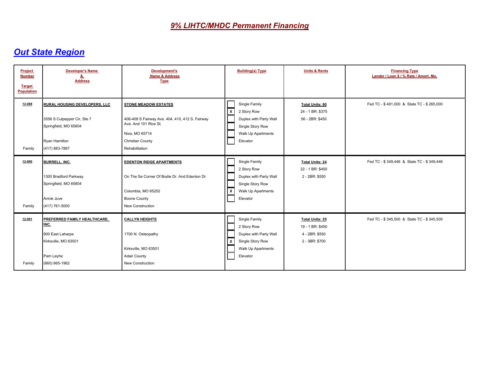| Project<br><b>Number</b><br><b>Target</b><br>Population | <b>Developer's Name</b><br><u>&amp;</u><br><b>Address</b>                                                                       | <b>Development's</b><br><b>Name &amp; Address</b><br><b>Type</b>                                                                                                       | <b>Building(s) Type</b>                                                                                             | <b>Units &amp; Rents</b>                                                       | <b>Financing Type</b><br>Lender / Loan \$ / % Rate / Amort. Mo. |
|---------------------------------------------------------|---------------------------------------------------------------------------------------------------------------------------------|------------------------------------------------------------------------------------------------------------------------------------------------------------------------|---------------------------------------------------------------------------------------------------------------------|--------------------------------------------------------------------------------|-----------------------------------------------------------------|
| 12-088<br>Family                                        | <b>RURAL HOUSING DEVELOPERS, LLC</b><br>3556 S Culpepper Cir, Ste 7<br>Springfield, MO 65804<br>Ryan Hamilton<br>(417) 883-7887 | <b>STONE MEADOW ESTATES</b><br>406-408 S Fairway Ave. 404, 410, 412 S. Fairway<br>Ave. And 101 Rice St.<br>Nixa, MO 65714<br><b>Christian County</b><br>Rehabilitation | Single Family<br>  x<br>2 Story Row<br>Duplex with Party Wall<br>Single Story Row<br>Walk Up Apartments<br>Elevator | <b>Total Units: 80</b><br>24 - 1 BR: \$375<br>56 - 2BR: \$450                  | Fed TC - \$491,000 & State TC - \$265,000                       |
| 12-090<br>Family                                        | BURRELL, INC.<br>1300 Bradford Parkway<br>Springfield, MO 65804<br>Annie Juve<br>(417) 761-5000                                 | <b>EDENTON RIDGE APARTMENTS</b><br>On The Se Corner Of Bodie Dr. And Edenton Dr.<br>Columbia, MO 65202<br><b>Boone County</b><br>New Construction                      | Single Family<br>2 Story Row<br>Duplex with Party Wall<br>Single Story Row<br>  x<br>Walk Up Apartments<br>Elevator | <b>Total Units: 24</b><br>22 - 1 BR: \$450<br>2 - 2BR: \$550                   | Fed TC - \$349,446 & State TC - \$349,446                       |
| 12-091<br>Family                                        | PREFERRED FAMILY HEALTHCARE,<br>INC.<br>900 East Laharpe<br>Kirksville, MO 63501<br>Pam Leyhe<br>(660) 665-1962                 | <b>CALLYN HEIGHTS</b><br>1700 N. Osteopathy<br>Kirksville, MO 63501<br><b>Adair County</b><br>New Construction                                                         | Single Family<br>2 Story Row<br>Duplex with Party Wall<br>  x<br>Single Story Row<br>Walk Up Apartments<br>Elevator | <b>Total Units: 25</b><br>19 - 1 BR: \$450<br>4 - 2BR: \$550<br>2 - 3BR: \$700 | Fed TC - \$345,500 & State TC - \$345,500                       |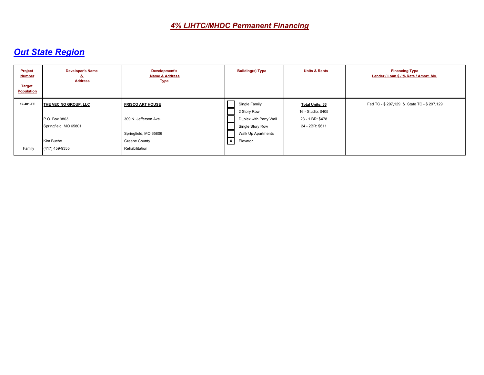| <b>Project</b><br><b>Number</b><br><b>Target</b><br><b>Population</b> | <b>Developer's Name</b><br><u>o.</u><br><b>Address</b> | Development's<br><b>Name &amp; Address</b><br><b>Type</b> | <b>Building(s) Type</b>                    | <b>Units &amp; Rents</b>                     | <b>Financing Type</b><br>Lender / Loan \$ / % Rate / Amort. Mo. |
|-----------------------------------------------------------------------|--------------------------------------------------------|-----------------------------------------------------------|--------------------------------------------|----------------------------------------------|-----------------------------------------------------------------|
| 12-401-TE                                                             | THE VECINO GROUP, LLC                                  | <b>FRISCO ART HOUSE</b>                                   | Single Family<br>2 Story Row               | <b>Total Units: 63</b><br>16 - Studio: \$405 | Fed TC - \$297,129 & State TC - \$297,129                       |
|                                                                       | P.O. Box 9803<br>Springfield, MO 65801                 | 309 N. Jefferson Ave.                                     | Duplex with Party Wall<br>Single Story Row | 23 - 1 BR: \$478<br>24 - 2BR: \$611          |                                                                 |
|                                                                       |                                                        | Springfield, MO 65806                                     | Walk Up Apartments                         |                                              |                                                                 |
|                                                                       | Kim Buche                                              | Greene County                                             | $\sqrt{x}$<br>Elevator                     |                                              |                                                                 |
| Family                                                                | (417) 459-9355                                         | Rehabilitation                                            |                                            |                                              |                                                                 |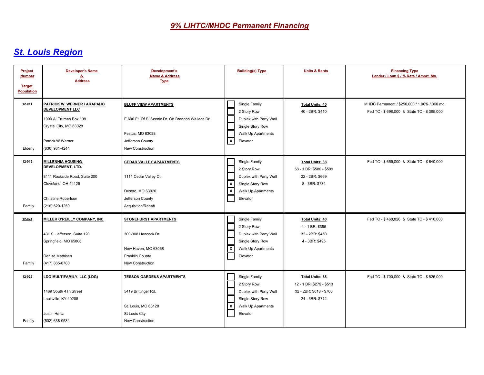| Project<br><b>Number</b><br><b>Target</b><br><b>Population</b> | <b>Developer's Name</b><br><u>&amp;</u><br><b>Address</b>                                                                                             | <b>Development's</b><br><b>Name &amp; Address</b><br><b>Type</b>                                                                              | <b>Building(s) Type</b>                                                                                                    | <b>Units &amp; Rents</b>                                                                         | <b>Financing Type</b><br>Lender / Loan \$ / % Rate / Amort. Mo.                           |
|----------------------------------------------------------------|-------------------------------------------------------------------------------------------------------------------------------------------------------|-----------------------------------------------------------------------------------------------------------------------------------------------|----------------------------------------------------------------------------------------------------------------------------|--------------------------------------------------------------------------------------------------|-------------------------------------------------------------------------------------------|
| 12-011<br>Elderly                                              | PATRICK W. WERNER / ARAPAHO<br><b>DEVELOPMENT LLC</b><br>1000 A Truman Box 198<br>Crystal City, MO 63028<br><b>Patrick W Werner</b><br>(636) 931-4244 | <b>BLUFF VIEW APARTMENTS</b><br>E 600 Ft. Of S. Scenic Dr. On Brandon Wallace Dr.<br>Festus, MO 63028<br>Jefferson County<br>New Construction | Single Family<br>2 Story Row<br>Duplex with Party Wall<br>Single Story Row<br>Walk Up Apartments<br>$\sqrt{x}$<br>Elevator | <b>Total Units: 40</b><br>40 - 2BR: \$410                                                        | MHDC Permanent / \$250,000 / 1.00% / 360 mo.<br>Fed TC - \$698,000 & State TC - \$385,000 |
| 12-016<br>Family                                               | <b>MILLENNIA HOUSING</b><br>DEVELOPMENT, LTD.<br>8111 Rockside Road, Suite 200<br>Cleveland, OH 44125<br><b>Christine Robertson</b><br>(216) 520-1250 | <b>CEDAR VALLEY APARTMENTS</b><br>1111 Cedar Valley Ct.<br>Desoto, MO 63020<br>Jefferson County<br>Acquisition/Rehab                          | Single Family<br>2 Story Row<br>Duplex with Party Wall<br>  x<br>Single Story Row<br>⊺⊼<br>Walk Up Apartments<br>Elevator  | <b>Total Units: 88</b><br>58 - 1 BR: \$580 - \$599<br>22 - 2BR: \$669<br>8 - 3BR: \$734          | Fed TC - \$655,000 & State TC - \$640,000                                                 |
| 12-024<br>Family                                               | <b>MILLER O'REILLY COMPANY, INC.</b><br>431 S. Jefferson, Suite 120<br>Springfield, MO 65806<br>Denise Mathisen<br>(417) 865-6788                     | <b>STONEHURST APARTMENTS</b><br>300-308 Hancock Dr.<br>New Haven, MO 63068<br>Franklin County<br>New Construction                             | Single Family<br>2 Story Row<br>Duplex with Party Wall<br>Single Story Row<br>⊻<br>Walk Up Apartments<br>Elevator          | <b>Total Units: 40</b><br>4 - 1 BR: \$395<br>32 - 2BR: \$450<br>4 - 3BR: \$495                   | Fed TC - \$468,826 & State TC - \$410,000                                                 |
| 12-026<br>Family                                               | LDG MULTIFAMILY, LLC (LDG)<br>1469 South 4Th Street<br>Louisville, KY 40208<br>Justin Hartz<br>(502) 638-0534                                         | <b>TESSON GARDENS APARTMENTS</b><br>5419 Brittinger Rd.<br>St. Louis, MO 63128<br>St Louis City<br>New Construction                           | Single Family<br>2 Story Row<br>Duplex with Party Wall<br>Single Story Row<br>∣x<br>Walk Up Apartments<br>Elevator         | <b>Total Units: 68</b><br>12 - 1 BR: \$279 - \$513<br>32 - 2BR: \$618 - \$760<br>24 - 3BR: \$712 | Fed TC - \$700,000 & State TC - \$525,000                                                 |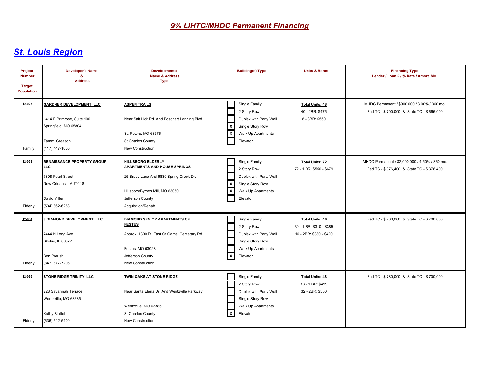| Project<br><b>Number</b><br><b>Target</b><br><b>Population</b> | <b>Developer's Name</b><br>&<br><b>Address</b>                                                                            | <b>Development's</b><br><b>Name &amp; Address</b><br><b>Type</b>                                                                                                                | <b>Building(s) Type</b>                                                                                                             | <b>Units &amp; Rents</b>                                                      | <b>Financing Type</b><br>Lender / Loan \$ / % Rate / Amort. Mo.                             |
|----------------------------------------------------------------|---------------------------------------------------------------------------------------------------------------------------|---------------------------------------------------------------------------------------------------------------------------------------------------------------------------------|-------------------------------------------------------------------------------------------------------------------------------------|-------------------------------------------------------------------------------|---------------------------------------------------------------------------------------------|
| 12-027<br>Family                                               | <b>GARDNER DEVELOPMENT, LLC</b><br>1414 E Primrose, Suite 100<br>Springfield, MO 65804<br>Tammi Creason<br>(417) 447-1800 | <b>ASPEN TRAILS</b><br>Near Salt Lick Rd. And Boschert Landing Blvd.<br>St. Peters, MO 63376<br>St Charles County<br>New Construction                                           | Single Family<br>2 Story Row<br>Duplex with Party Wall<br>  x<br>Single Story Row<br>X<br>Walk Up Apartments<br>Elevator            | <b>Total Units: 48</b><br>40 - 2BR: \$475<br>8 - 3BR: \$550                   | MHDC Permanent / \$900,000 / 3.00% / 360 mo.<br>Fed TC - \$700,000 & State TC - \$665,000   |
| 12-028<br>Elderly                                              | <b>RENAISSANCE PROPERTY GROUP</b><br>LLC.<br>7808 Pearl Street<br>New Orleans, LA 70118<br>David Miller<br>(504) 862-6238 | HILLSBORO ELDERLY<br><b>APARTMENTS AND HOUSE SPRINGS</b><br>25 Brady Lane And 6830 Spring Creek Dr.<br>Hillsboro/Byrnes Mill, MO 63050<br>Jefferson County<br>Acquisition/Rehab | Single Family<br>2 Story Row<br>Duplex with Party Wall<br>  x<br>Single Story Row<br>⊺⊼<br>Walk Up Apartments<br>Elevator           | <b>Total Units: 72</b><br>72 - 1 BR: \$550 - \$679                            | MHDC Permanent / \$2,000,000 / 4.50% / 360 mo.<br>Fed TC - \$376,400 & State TC - \$376,400 |
| 12-034<br>Elderly                                              | 3 DIAMOND DEVELOPMENT, LLC<br>7444 N Long Ave<br>Skokie, IL 60077<br><b>Ben Porush</b><br>(847) 677-7206                  | DIAMOND SENIOR APARTMENTS OF<br><b>FESTUS</b><br>Approx. 1300 Ft. East Of Gamel Cemetary Rd.<br>Festus, MO 63028<br>Jefferson County<br>New Construction                        | Single Family<br>2 Story Row<br>Duplex with Party Wall<br>Single Story Row<br><b>Walk Up Apartments</b><br>$\mathbf{x}$<br>Elevator | <b>Total Units: 46</b><br>30 - 1 BR: \$310 - \$385<br>16 - 2BR: \$380 - \$420 | Fed TC - \$700,000 & State TC - \$700,000                                                   |
| 12-036<br>Elderly                                              | STONE RIDGE TRINITY, LLC<br>228 Savannah Terrace<br>Wentzville, MO 63385<br>Kathy Blattel<br>(636) 542-5400               | TWIN OAKS AT STONE RIDGE<br>Near Santa Elena Dr. And Wentzville Parkway<br>Wentzville, MO 63385<br>St Charles County<br>New Construction                                        | Single Family<br>2 Story Row<br>Duplex with Party Wall<br>Single Story Row<br>Walk Up Apartments<br>$\mathbf{x}$<br>Elevator        | <b>Total Units: 48</b><br>16 - 1 BR: \$499<br>32 - 2BR: \$550                 | Fed TC - \$780,000 & State TC - \$700,000                                                   |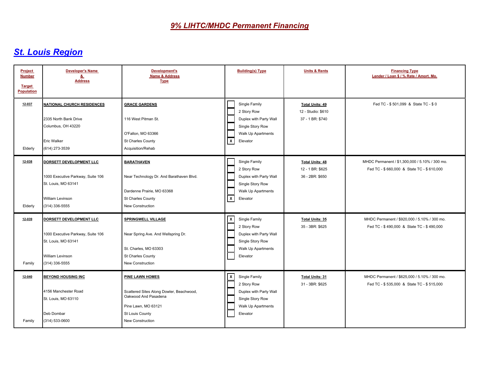| Project<br><b>Number</b><br><b>Target</b><br><b>Population</b> | <b>Developer's Name</b><br>&<br><b>Address</b>                                                                                   | <b>Development's</b><br><b>Name &amp; Address</b><br><b>Type</b>                                                                                  | <b>Building(s) Type</b>                                                                                                      | <b>Units &amp; Rents</b>                                         | <b>Financing Type</b><br>Lender / Loan \$ / % Rate / Amort. Mo.                             |
|----------------------------------------------------------------|----------------------------------------------------------------------------------------------------------------------------------|---------------------------------------------------------------------------------------------------------------------------------------------------|------------------------------------------------------------------------------------------------------------------------------|------------------------------------------------------------------|---------------------------------------------------------------------------------------------|
| 12-037<br>Elderly                                              | <b>NATIONAL CHURCH RESIDENCES</b><br>2335 North Bank Drive<br>Columbus, OH 43220<br><b>Eric Walker</b><br>(614) 273-3539         | <b>GRACE GARDENS</b><br>116 West Pitman St.<br>O'Fallon, MO 63366<br>St Charles County<br>Acquisition/Rehab                                       | Single Family<br>2 Story Row<br>Duplex with Party Wall<br>Single Story Row<br>Walk Up Apartments<br>⊺x<br>Elevator           | <b>Total Units: 49</b><br>12 - Studio: \$610<br>37 - 1 BR: \$740 | Fed TC - \$501,099 & State TC - \$0                                                         |
| 12-038<br>Elderly                                              | DORSETT DEVELOPMENT LLC<br>1000 Executive Parkway, Suite 106<br>St. Louis, MO 63141<br><b>William Levinson</b><br>(314) 336-5555 | <b>BARATHAVEN</b><br>Near Technology Dr. And Barathaven Blvd.<br>Dardenne Prairie, MO 63368<br>St Charles County<br><b>New Construction</b>       | Single Family<br>2 Story Row<br>Duplex with Party Wall<br>Single Story Row<br>Walk Up Apartments<br>$\mathsf{X}$<br>Elevator | <b>Total Units: 48</b><br>12 - 1 BR: \$625<br>36 - 2BR: \$650    | MHDC Permanent / \$1,300,000 / 5.10% / 300 mo.<br>Fed TC - \$660,000 & State TC - \$610,000 |
| 12-039<br>Family                                               | DORSETT DEVELOPMENT LLC<br>1000 Executive Parkway, Suite 106<br>St. Louis, MO 63141<br><b>William Levinson</b><br>(314) 336-5555 | <b>SPRINGWELL VILLAGE</b><br>Near Spring Ave. And Wellspring Dr.<br>St. Charles, MO 63303<br>St Charles County<br>New Construction                | $\mathsf{X}$<br>Single Family<br>2 Story Row<br>Duplex with Party Wall<br>Single Story Row<br>Walk Up Apartments<br>Elevator | Total Units: 35<br>35 - 3BR: \$625                               | MHDC Permanent / \$920,000 / 5.10% / 300 mo.<br>Fed TC - \$490,000 & State TC - \$490,000   |
| 12-040<br>Family                                               | <b>BEYOND HOUSING INC</b><br>4156 Manchester Road<br>St. Louis, MO 63110<br>Deb Dombar<br>(314) 533-0600                         | PINE LAWN HOMES<br>Scattered Sites Along Dowler, Beachwood,<br>Oakwood And Pasadena<br>Pine Lawn, MO 63121<br>St Louis County<br>New Construction | <u> x</u><br>Single Family<br>2 Story Row<br>Duplex with Party Wall<br>Single Story Row<br>Walk Up Apartments<br>Elevator    | <b>Total Units: 31</b><br>31 - 3BR: \$625                        | MHDC Permanent / \$625,000 / 5.10% / 300 mo.<br>Fed TC - \$535,000 & State TC - \$515,000   |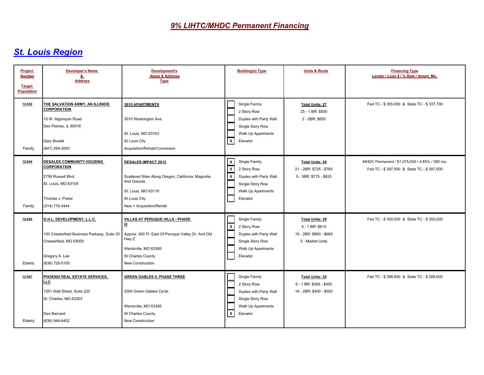| Project<br><b>Number</b><br><b>Target</b><br><b>Population</b> | <b>Developer's Name</b><br>&<br><b>Address</b>                                                                                                 | <b>Development's</b><br><b>Name &amp; Address</b><br><b>Type</b>                                                                                                     | <b>Building(s) Type</b>                                                                                                                 | <b>Units &amp; Rents</b>                                                                 | <b>Financing Type</b><br>Lender / Loan \$ / % Rate / Amort. Mo.                             |
|----------------------------------------------------------------|------------------------------------------------------------------------------------------------------------------------------------------------|----------------------------------------------------------------------------------------------------------------------------------------------------------------------|-----------------------------------------------------------------------------------------------------------------------------------------|------------------------------------------------------------------------------------------|---------------------------------------------------------------------------------------------|
| 12-042<br>Family                                               | THE SALVATION ARMY, AN ILLINOIS<br><b>CORPORATION</b><br>10 W. Algonquin Road<br>Des Plaines, IL 60016<br><b>Gary Busiek</b><br>(847) 294-2000 | 3010 APARTMENTS<br>3010 Washington Ave.<br>St. Louis, MO 63103<br>St Louis City<br>Acquisition/Rehab/Conversion                                                      | Single Family<br>2 Story Row<br>Duplex with Party Wall<br>Single Story Row<br>Walk Up Apartments<br>$\overline{\mathbf{x}}$<br>Elevator | <b>Total Units: 27</b><br>25 - 1 BR: \$500<br>2 - 2BR: \$650                             | Fed TC - \$355,000 & State TC - \$337,700                                                   |
| 12-044<br>Family                                               | DESALES COMMUNITY HOUSING<br><b>CORPORATION</b><br>2759 Russell Blvd.<br>St. Louis, MO 63104<br>Thomas J. Pickel<br>(314) 776-5444             | <b>DESALES IMPACT 2012</b><br>Scattered Sites Along Oregon, California, Magnolia<br>And Gravois<br>St. Louis, MO 63118<br>St Louis City<br>New + Acquisition/Rehab   | $\frac{x}{x}$<br>Single Family<br>2 Story Row<br>Duplex with Party Wall<br>Single Story Row<br>Walk Up Apartments<br>Elevator           | <b>Total Units: 26</b><br>21 - 2BR: \$725 - \$765<br>5 - 3BR: \$775 - \$825              | MHDC Permanent / \$1,075,000 / 4.85% / 360 mo.<br>Fed TC - \$397,500 & State TC - \$397,500 |
| 12-045<br>Elderly                                              | G.H.L. DEVELOPMENT, L.L.C.<br>100 Chesterfield Business Parkway, Suite 30<br>Chesterfield, MO 63005<br>Gregory A. Lee<br>(636) 728-5100        | VILLAS AT PERUQUE HILLS - PHASE<br>Ш<br>Approx. 500 Ft. East Of Peruque Valley Dr. And Old<br>Hwy Z<br>Wentzville, MO 63385<br>St Charles County<br>New Construction | Single Family<br>  x<br>2 Story Row<br>Duplex with Party Wall<br>Single Story Row<br>Walk Up Apartments<br>Elevator                     | <b>Total Units: 28</b><br>4 - 1 BR: \$615<br>19 - 2BR: \$660 - \$685<br>5 - Market Units | Fed TC - \$350,000 & State TC - \$350,000                                                   |
| 12-047<br>Elderly                                              | PHOENIX REAL ESTATE SERVICES.<br><b>LLC</b><br>1551 Wall Street, Suite 220<br>St. Charles, MO 63303<br>Dan Barnard<br>(636) 946-6452           | <b>GREEN GABLES II, PHASE THREE</b><br>2000 Green Gables Circle<br>Wentzville, MO 63385<br>St Charles County<br>New Construction                                     | Single Family<br>2 Story Row<br>Duplex with Party Wall<br>Single Story Row<br>Walk Up Apartments<br>$\overline{\mathbf{x}}$<br>Elevator | <b>Total Units: 24</b><br>6 - 1 BR: \$365 - \$450<br>18 - 2BR: \$400 - \$550             | Fed TC - \$288,600 & State TC - \$288,600                                                   |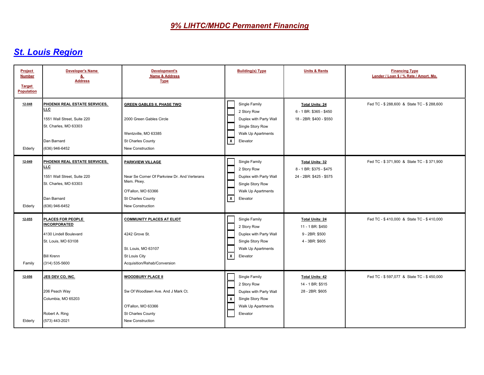| Project<br><b>Number</b><br><b>Target</b><br><b>Population</b> | <b>Developer's Name</b><br><u>&amp;</u><br><b>Address</b>                                                                            | Development's<br><b>Name &amp; Address</b><br><b>Type</b>                                                                                            | <b>Building(s) Type</b>                                                                                                      | <b>Units &amp; Rents</b>                                                       | <b>Financing Type</b><br>Lender / Loan \$ / % Rate / Amort. Mo. |
|----------------------------------------------------------------|--------------------------------------------------------------------------------------------------------------------------------------|------------------------------------------------------------------------------------------------------------------------------------------------------|------------------------------------------------------------------------------------------------------------------------------|--------------------------------------------------------------------------------|-----------------------------------------------------------------|
| 12-048<br>Elderly                                              | PHOENIX REAL ESTATE SERVICES,<br>LLC<br>1551 Wall Street. Suite 220<br>St. Charles, MO 63303<br>Dan Barnard<br>(636) 946-6452        | <b>GREEN GABLES II, PHASE TWO</b><br>2000 Green Gables Circle<br>Wentzville, MO 63385<br>St Charles County<br>New Construction                       | Single Family<br>2 Story Row<br>Duplex with Party Wall<br>Single Story Row<br>Walk Up Apartments<br>$\mathbf{x}$<br>Elevator | <b>Total Units: 24</b><br>6 - 1 BR: \$365 - \$450<br>18 - 2BR: \$400 - \$550   | Fed TC - \$288,600 & State TC - \$288,600                       |
| 12-049<br>Elderly                                              | PHOENIX REAL ESTATE SERVICES.<br><b>LLC</b><br>1551 Wall Street, Suite 220<br>St. Charles, MO 63303<br>Dan Barnard<br>(636) 946-6452 | PARKVIEW VILLAGE<br>Near Se Corner Of Parkview Dr. And Verterans<br>Mem. Pkwy.<br>O'Fallon, MO 63366<br>St Charles County<br><b>New Construction</b> | Single Family<br>2 Story Row<br>Duplex with Party Wall<br>Single Story Row<br>Walk Up Apartments<br>$\mathsf{x}$<br>Elevator | <b>Total Units: 32</b><br>8 - 1 BR: \$375 - \$475<br>24 - 2BR: \$425 - \$575   | Fed TC - \$371,900 & State TC - \$371,900                       |
| 12-055<br>Family                                               | PLACES FOR PEOPLE<br><b>INCORPORATED</b><br>4130 Lindell Boulevard<br>St. Louis, MO 63108<br><b>Bill Krenn</b><br>(314) 535-5600     | <b>COMMUNITY PLACES AT ELIOT</b><br>4242 Grove St.<br>St. Louis, MO 63107<br>St Louis City<br>Acquisition/Rehab/Conversion                           | Single Family<br>2 Story Row<br>Duplex with Party Wall<br>Single Story Row<br>Walk Up Apartments<br>$\mathsf{X}$<br>Elevator | <b>Total Units: 24</b><br>11 - 1 BR: \$450<br>9 - 2BR: \$500<br>4 - 3BR: \$605 | Fed TC - \$410,000 & State TC - \$410,000                       |
| 12-056<br>Elderly                                              | JES DEV CO, INC.<br>206 Peach Way<br>Columbia, MO 65203<br>Robert A. Ring<br>(573) 443-2021                                          | <b>WOODBURY PLACE II</b><br>Sw Of Woodlawn Ave. And J Mark Ct.<br>O'Fallon, MO 63366<br>St Charles County<br>New Construction                        | Single Family<br>2 Story Row<br>Duplex with Party Wall<br>X<br>Single Story Row<br>Walk Up Apartments<br>Elevator            | <b>Total Units: 42</b><br>14 - 1 BR: \$515<br>28 - 2BR: \$605                  | Fed TC - \$597,077 & State TC - \$450,000                       |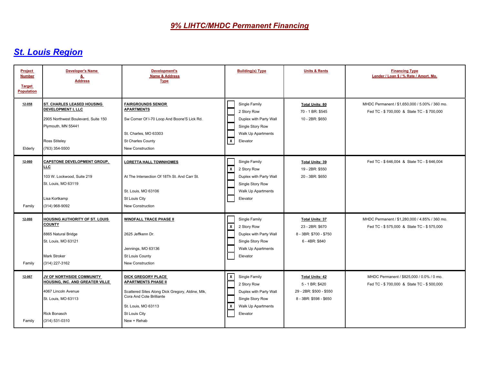| Project<br><b>Number</b><br><b>Target</b><br><b>Population</b> | <b>Developer's Name</b><br>&<br><b>Address</b>                                                                                                                 | <b>Development's</b><br><b>Name &amp; Address</b><br><b>Type</b>                                                                                                                               | <b>Building(s) Type</b>                                                                                                                      | <b>Units &amp; Rents</b>                                                                       | <b>Financing Type</b><br>Lender / Loan \$ / % Rate / Amort. Mo.                             |
|----------------------------------------------------------------|----------------------------------------------------------------------------------------------------------------------------------------------------------------|------------------------------------------------------------------------------------------------------------------------------------------------------------------------------------------------|----------------------------------------------------------------------------------------------------------------------------------------------|------------------------------------------------------------------------------------------------|---------------------------------------------------------------------------------------------|
| 12-058<br>Elderly                                              | ST. CHARLES LEASED HOUSING<br><b>DEVELOPMENT I, LLC</b><br>2905 Northwest Boulevard, Suite 150<br>Plymouth, MN 55441<br><b>Ross Stiteley</b><br>(763) 354-5500 | <b>FAIRGROUNDS SENIOR</b><br><b>APARTMENTS</b><br>Sw Corner Of I-70 Loop And Boone'S Lick Rd.<br>St. Charles, MO 63303<br>St Charles County<br>New Construction                                | Single Family<br>2 Story Row<br>Duplex with Party Wall<br>Single Story Row<br>Walk Up Apartments<br>$\vert x \vert$<br>Elevator              | <b>Total Units: 80</b><br>70 - 1 BR: \$545<br>10 - 2BR: \$650                                  | MHDC Permanent / \$1,650,000 / 5.00% / 360 mo.<br>Fed TC - \$700,000 & State TC - \$700,000 |
| 12-060<br>Family                                               | <b>CAPSTONE DEVELOPMENT GROUP.</b><br>LLC.<br>103 W. Lockwood, Suite 219<br>St. Louis, MO 63119<br>Lisa Kortkamp<br>(314) 968-9092                             | <b>LORETTA HALL TOWNHOMES</b><br>At The Intersection Of 18Th St. And Carr St.<br>St. Louis, MO 63106<br>St Louis City<br>New Construction                                                      | Single Family<br>$\mathsf{x}$<br>2 Story Row<br>Duplex with Party Wall<br>Single Story Row<br>Walk Up Apartments<br>Elevator                 | <b>Total Units: 39</b><br>19 - 2BR: \$550<br>20 - 3BR: \$650                                   | Fed TC - \$646,004 & State TC - \$646,004                                                   |
| 12-066<br>Family                                               | <b>HOUSING AUTHORITY OF ST. LOUIS</b><br><b>COUNTY</b><br>8865 Natural Bridge<br>St. Louis, MO 63121<br>Mark Stroker<br>(314) 227-3162                         | <b>WINDFALL TRACE PHASE II</b><br>2625 Jeffkenn Dr.<br>Jennings, MO 63136<br>St Louis County<br>New Construction                                                                               | Single Family<br>$\boldsymbol{\mathsf{x}}$<br>2 Story Row<br>Duplex with Party Wall<br>Single Story Row<br>Walk Up Apartments<br>Elevator    | <b>Total Units: 37</b><br>23 - 2BR: \$670<br>8 - 3BR: \$700 - \$750<br>6 - 4BR: \$840          | MHDC Permanent / \$1,280,000 / 4.85% / 360 mo.<br>Fed TC - \$575,000 & State TC - \$575,000 |
| 12-067<br>Family                                               | <b>JV OF NORTHSIDE COMMUNITY</b><br>HOUSING, INC. AND GREATER VILLE<br>4067 Lincoln Avenue<br>St. Louis, MO 63113<br><b>Rick Bonasch</b><br>(314) 531-0310     | <b>DICK GREGORY PLACE</b><br><b>APARTMENTS PHASE II</b><br>Scattered Sites Along Dick Gregory, Aldine, Mlk,<br>Cora And Cote Brilliante<br>St. Louis, MO 63113<br>St Louis City<br>New + Rehab | $\mathsf{x}$<br>Single Family<br>2 Story Row<br>Duplex with Party Wall<br>Single Story Row<br>$\mathsf{x}$<br>Walk Up Apartments<br>Elevator | <b>Total Units: 42</b><br>5 - 1 BR: \$420<br>29 - 2BR: \$500 - \$550<br>8 - 3BR: \$598 - \$650 | MHDC Permanent / \$825,000 / 0.0% / 0 mo.<br>Fed TC - \$700,000 & State TC - \$500,000      |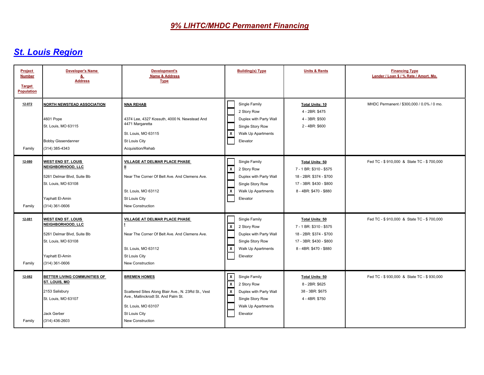| Project<br><b>Number</b><br><b>Target</b><br><b>Population</b> | <b>Developer's Name</b><br>&<br><b>Address</b>                                                                                           | Development's<br>Name & Address<br><b>Type</b>                                                                                                                                | <b>Building(s) Type</b>                                                                                                                | <b>Units &amp; Rents</b>                                                                                                          | <b>Financing Type</b><br>Lender / Loan \$ / % Rate / Amort. Mo. |
|----------------------------------------------------------------|------------------------------------------------------------------------------------------------------------------------------------------|-------------------------------------------------------------------------------------------------------------------------------------------------------------------------------|----------------------------------------------------------------------------------------------------------------------------------------|-----------------------------------------------------------------------------------------------------------------------------------|-----------------------------------------------------------------|
| 12-072<br>Family                                               | <b>NORTH NEWSTEAD ASSOCIATION</b><br>4601 Pope<br>St. Louis, MO 63115<br><b>Bobby Gissendanner</b><br>(314) 385-4343                     | <b>NNA REHAB</b><br>4374 Lee, 4327 Kossuth, 4000 N. Newstead And<br>4471 Margaretta<br>St. Louis, MO 63115<br>St Louis City<br>Acquisition/Rehab                              | Single Family<br>2 Story Row<br>Duplex with Party Wall<br>Single Story Row<br>  x<br>Walk Up Apartments<br>Elevator                    | <b>Total Units: 10</b><br>4 - 2BR: \$475<br>4 - 3BR: \$500<br>2 - 4BR: \$600                                                      | MHDC Permanent / \$300,000 / 0.0% / 0 mo.                       |
| 12-080<br>Family                                               | <b>WEST END ST. LOUIS</b><br>NEIGHBORHOOD, LLC<br>5261 Delmar Blvd, Suite Bb<br>St. Louis, MO 63108<br>Yaphatt El-Amin<br>(314) 361-0606 | <b>VILLAGE AT DELMAR PLACE PHASE</b><br>Near The Corner Of Belt Ave. And Clemens Ave.<br>St. Louis, MO 63112<br>St Louis City<br>New Construction                             | Single Family<br>$\mathbf{x}$<br>2 Story Row<br>Duplex with Party Wall<br>Single Story Row<br>  x<br>Walk Up Apartments<br>Elevator    | <b>Total Units: 50</b><br>7 - 1 BR: \$310 - \$575<br>18 - 2BR: \$374 - \$700<br>17 - 3BR: \$430 - \$800<br>8 - 4BR: \$470 - \$880 | Fed TC - \$910,000 & State TC - \$700,000                       |
| 12-081<br>Family                                               | <b>WEST END ST. LOUIS</b><br>NEIGHBORHOOD, LLC<br>5261 Delmar Blvd, Suite Bb<br>St. Louis, MO 63108<br>Yaphatt El-Amin<br>(314) 361-0606 | VILLAGE AT DELMAR PLACE PHASE<br>Near The Corner Of Belt Ave. And Clemens Ave.<br>St. Louis. MO 63112<br>St Louis City<br>New Construction                                    | Single Family<br>$\vert x \vert$<br>2 Story Row<br>Duplex with Party Wall<br>Single Story Row<br>  x<br>Walk Up Apartments<br>Elevator | <b>Total Units: 50</b><br>7 - 1 BR: \$310 - \$575<br>18 - 2BR: \$374 - \$700<br>17 - 3BR: \$430 - \$800<br>8 - 4BR: \$470 - \$880 | Fed TC - \$910,000 & State TC - \$700,000                       |
| 12-082<br>Family                                               | BETTER LIVING COMMUNITIES OF<br>ST. LOUIS, MO<br>2153 Salisbury<br>St. Louis, MO 63107<br>Jack Gerber<br>(314) 436-2603                  | <b>BREMEN HOMES</b><br>Scattered Sites Along Blair Ave., N. 23Rd St., Vest<br>Ave., Mallinckrodt St. And Palm St.<br>St. Louis, MO 63107<br>St Louis City<br>New Construction | $\frac{x}{x}$<br>Single Family<br>2 Story Row<br>Duplex with Party Wall<br>Single Story Row<br>Walk Up Apartments<br>Elevator          | <b>Total Units: 50</b><br>8 - 2BR: \$625<br>38 - 3BR: \$675<br>4 - 4BR: \$750                                                     | Fed TC - \$930,000 & State TC - \$930,000                       |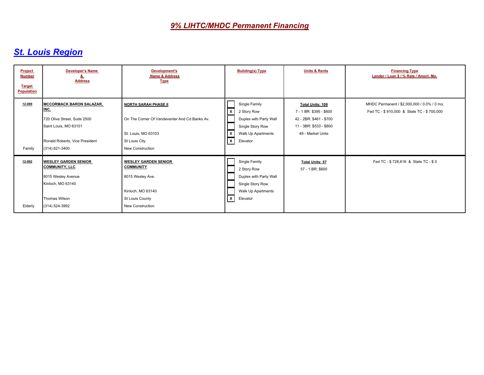| Project<br><b>Number</b><br><b>Target</b><br><b>Population</b> | <b>Developer's Name</b><br>õ.<br><b>Address</b>                                                                         | <b>Development's</b><br>Name & Address<br><b>Type</b>                                                       | <b>Building(s) Type</b>                                                                                                             | <b>Units &amp; Rents</b>                           | <b>Financing Type</b><br>Lender / Loan \$ / % Rate / Amort. Mo.                          |
|----------------------------------------------------------------|-------------------------------------------------------------------------------------------------------------------------|-------------------------------------------------------------------------------------------------------------|-------------------------------------------------------------------------------------------------------------------------------------|----------------------------------------------------|------------------------------------------------------------------------------------------|
| 12-089                                                         | <b>MCCORMACK BARON SALAZAR,</b><br>INC.                                                                                 | <b>NORTH SARAH PHASE II</b>                                                                                 | Single Family<br>2 Story Row                                                                                                        | <b>Total Units: 109</b><br>7 - 1 BR: \$395 - \$600 | MHDC Permanent / \$2,000,000 / 0.0% / 0 mo.<br>Fed TC - \$910,000 & State TC - \$700,000 |
|                                                                | 720 Olive Street, Suite 2500<br>Saint Louis, MO 63101                                                                   | On The Corner Of Vandeventer And Cd Banks Av.                                                               | $\mathbf{x}$<br>Duplex with Party Wall<br>Single Story Row                                                                          | 42 - 2BR: \$461 - \$700<br>11 - 3BR: \$533 - \$800 |                                                                                          |
|                                                                | Ronald Roberts, Vice President                                                                                          | St. Louis, MO 63103<br>St Louis City                                                                        | Walk Up Apartments<br>$\overline{\mathbf{x}}$<br>$\mathbf{x}$<br>Elevator                                                           | 49 - Market Units                                  |                                                                                          |
| Family                                                         | (314) 621-3400                                                                                                          | <b>New Construction</b>                                                                                     |                                                                                                                                     |                                                    |                                                                                          |
| 12-092                                                         | <b>WESLEY GARDEN SENIOR</b><br><b>COMMUNITY, LLC</b><br>8015 Wesley Avenue<br>Kinloch, MO 63140<br><b>Thomas Wilson</b> | <b>WESLEY GARDEN SENIOR</b><br><b>COMMUNITY</b><br>8015 Wesley Ave.<br>Kinloch, MO 63140<br>St Louis County | Single Family<br>2 Story Row<br>Duplex with Party Wall<br>Single Story Row<br>Walk Up Apartments<br>$\lfloor x \rfloor$<br>Elevator | <b>Total Units: 57</b><br>57 - 1 BR: \$600         | Fed TC - \$728,616 & State TC - \$0                                                      |
| Elderly                                                        | (314) 524-3992                                                                                                          | New Construction                                                                                            |                                                                                                                                     |                                                    |                                                                                          |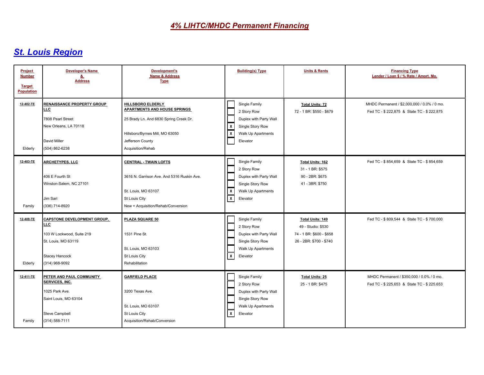| Project<br><b>Number</b><br><b>Target</b><br><b>Population</b> | <b>Developer's Name</b><br>&<br><b>Address</b>                                                                                            | <b>Development's</b><br><b>Name &amp; Address</b><br><b>Type</b>                                                                                                               | <b>Building(s) Type</b>                                                                                                                                            | <b>Units &amp; Rents</b>                                                                      | <b>Financing Type</b><br>Lender / Loan \$ / % Rate / Amort. Mo.                          |
|----------------------------------------------------------------|-------------------------------------------------------------------------------------------------------------------------------------------|--------------------------------------------------------------------------------------------------------------------------------------------------------------------------------|--------------------------------------------------------------------------------------------------------------------------------------------------------------------|-----------------------------------------------------------------------------------------------|------------------------------------------------------------------------------------------|
| 12-402-TE<br>Elderly                                           | <b>RENAISSANCE PROPERTY GROUP</b><br>LLC.<br>7808 Pearl Street<br>New Orleans, LA 70118<br>David Miller<br>(504) 862-6238                 | HILLSBORO ELDERLY<br><b>APARTMENTS AND HOUSE SPRINGS</b><br>25 Brady Ln. And 6830 Spring Creek Dr.<br>Hillsboro/Byrnes Mill, MO 63050<br>Jefferson County<br>Acquisition/Rehab | Single Family<br>2 Story Row<br>Duplex with Party Wall<br>Single Story Row<br>$\frac{x}{x}$<br>Walk Up Apartments<br>Elevator                                      | <b>Total Units: 72</b><br>72 - 1 BR: \$550 - \$679                                            | MHDC Permanent / \$2,000,000 / 0.0% / 0 mo.<br>Fed TC - \$222,875 & State TC - \$222,875 |
| 12-403-TE<br>Family                                            | <b>ARCHETYPES, LLC</b><br>406 E Fourth St<br>Winston-Salem, NC 27101<br>Jim Sari<br>(336) 714-8920                                        | <b>CENTRAL - TWAIN LOFTS</b><br>3616 N. Garrison Ave. And 5316 Ruskin Ave.<br>St. Louis, MO 63107<br>St Louis City<br>New + Acquisition/Rehab/Conversion                       | Single Family<br>2 Story Row<br>Duplex with Party Wall<br>Single Story Row<br>$\overline{\mathbf{x}}$<br>Walk Up Apartments<br>$\overline{\mathsf{x}}$<br>Elevator | Total Units: 162<br>31 - 1 BR: \$575<br>90 - 2BR: \$675<br>41 - 3BR: \$750                    | Fed TC - \$854,659 & State TC - \$854,659                                                |
| 12-408-TE<br>Elderly                                           | <b>CAPSTONE DEVELOPMENT GROUP,</b><br>LLC.<br>103 W Lockwood, Suite 219<br>St. Louis, MO 63119<br><b>Stacey Hancock</b><br>(314) 968-9092 | PLAZA SQUARE 50<br>1531 Pine St.<br>St. Louis, MO 63103<br>St Louis City<br>Rehabilitation                                                                                     | Single Family<br>2 Story Row<br>Duplex with Party Wall<br>Single Story Row<br>Walk Up Apartments<br>$\mathsf{x}$<br>Elevator                                       | Total Units: 149<br>49 - Studio: \$530<br>74 - 1 BR: \$600 - \$658<br>26 - 2BR: \$700 - \$740 | Fed TC - \$809,544 & State TC - \$700,000                                                |
| 12-411-TE<br>Family                                            | PETER AND PAUL COMMUNITY<br>SERVICES, INC.<br>1025 Park Ave.<br>Saint Louis, MO 63104<br><b>Steve Campbell</b><br>(314) 588-7111          | <b>GARFIELD PLACE</b><br>3200 Texas Ave.<br>St. Louis, MO 63107<br>St Louis City<br>Acquisition/Rehab/Conversion                                                               | Single Family<br>2 Story Row<br>Duplex with Party Wall<br>Single Story Row<br>Walk Up Apartments<br>$\sqrt{x}$<br>Elevator                                         | <b>Total Units: 25</b><br>25 - 1 BR: \$475                                                    | MHDC Permanent / \$350,000 / 0.0% / 0 mo.<br>Fed TC - \$225,653 & State TC - \$225,653   |